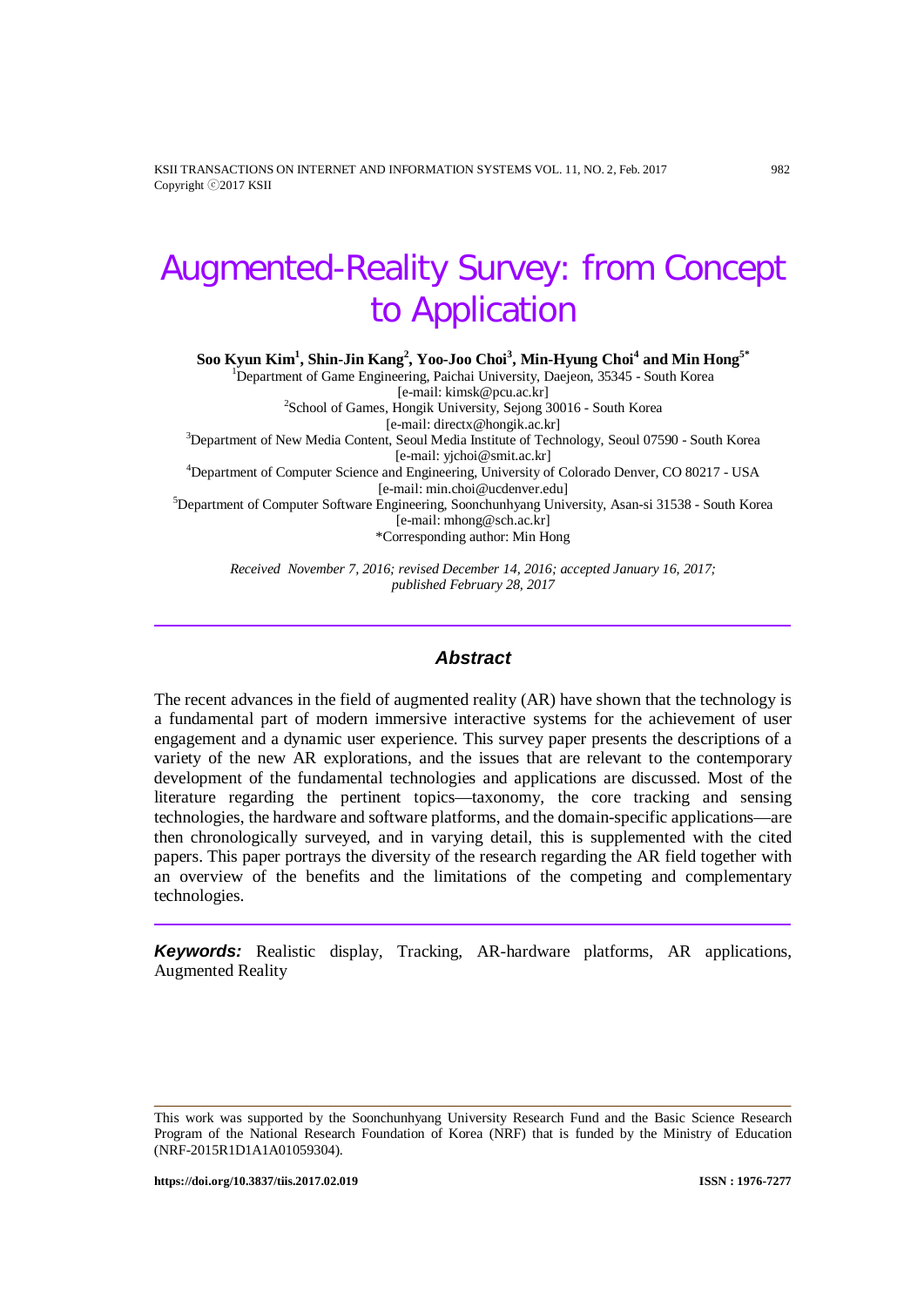KSII TRANSACTIONS ON INTERNET AND INFORMATION SYSTEMS VOL. 11, NO. 2, Feb. 2017 982 Copyright ⓒ2017 KSII

# Augmented-Reality Survey: from Concept to Application

**Soo Kyun Kim1 , Shin-Jin Kang2 , Yoo-Joo Choi<sup>3</sup> , Min-Hyung Choi<sup>4</sup> and Min Hong5\***

<sup>1</sup>Department of Game Engineering, Paichai University, Daejeon, 35345 - South Korea

[e-mail: kimsk@pcu.ac.kr] <sup>2</sup> School of Games, Hongik University, Sejong 30016 - South Korea

[e-mail: directx@hongik.ac.kr] <sup>3</sup> Department of New Media Content, Seoul Media Institute of Technology, Seoul 07590 - South Korea

[e-mail: yjchoi@smit.ac.kr] <sup>4</sup> Department of Computer Science and Engineering, University of Colorado Denver, CO 80217 - USA

E-mail: min.choi@ucdenver.edu]<br><sup>5</sup>Department of Computer Software Engineering, Soonchunhyang University, Asan-si 31538 - South Korea [e-mail: mhong@sch.ac.kr]

\*Corresponding author: Min Hong

*Received November 7, 2016; revised December 14, 2016; accepted January 16, 2017; published February 28, 2017*

## *Abstract*

The recent advances in the field of augmented reality (AR) have shown that the technology is a fundamental part of modern immersive interactive systems for the achievement of user engagement and a dynamic user experience. This survey paper presents the descriptions of a variety of the new AR explorations, and the issues that are relevant to the contemporary development of the fundamental technologies and applications are discussed. Most of the literature regarding the pertinent topics—taxonomy, the core tracking and sensing technologies, the hardware and software platforms, and the domain-specific applications—are then chronologically surveyed, and in varying detail, this is supplemented with the cited papers. This paper portrays the diversity of the research regarding the AR field together with an overview of the benefits and the limitations of the competing and complementary technologies.

*Keywords:* Realistic display, Tracking, AR-hardware platforms, AR applications, Augmented Reality

This work was supported by the Soonchunhyang University Research Fund and the Basic Science Research Program of the National Research Foundation of Korea (NRF) that is funded by the Ministry of Education (NRF-2015R1D1A1A01059304).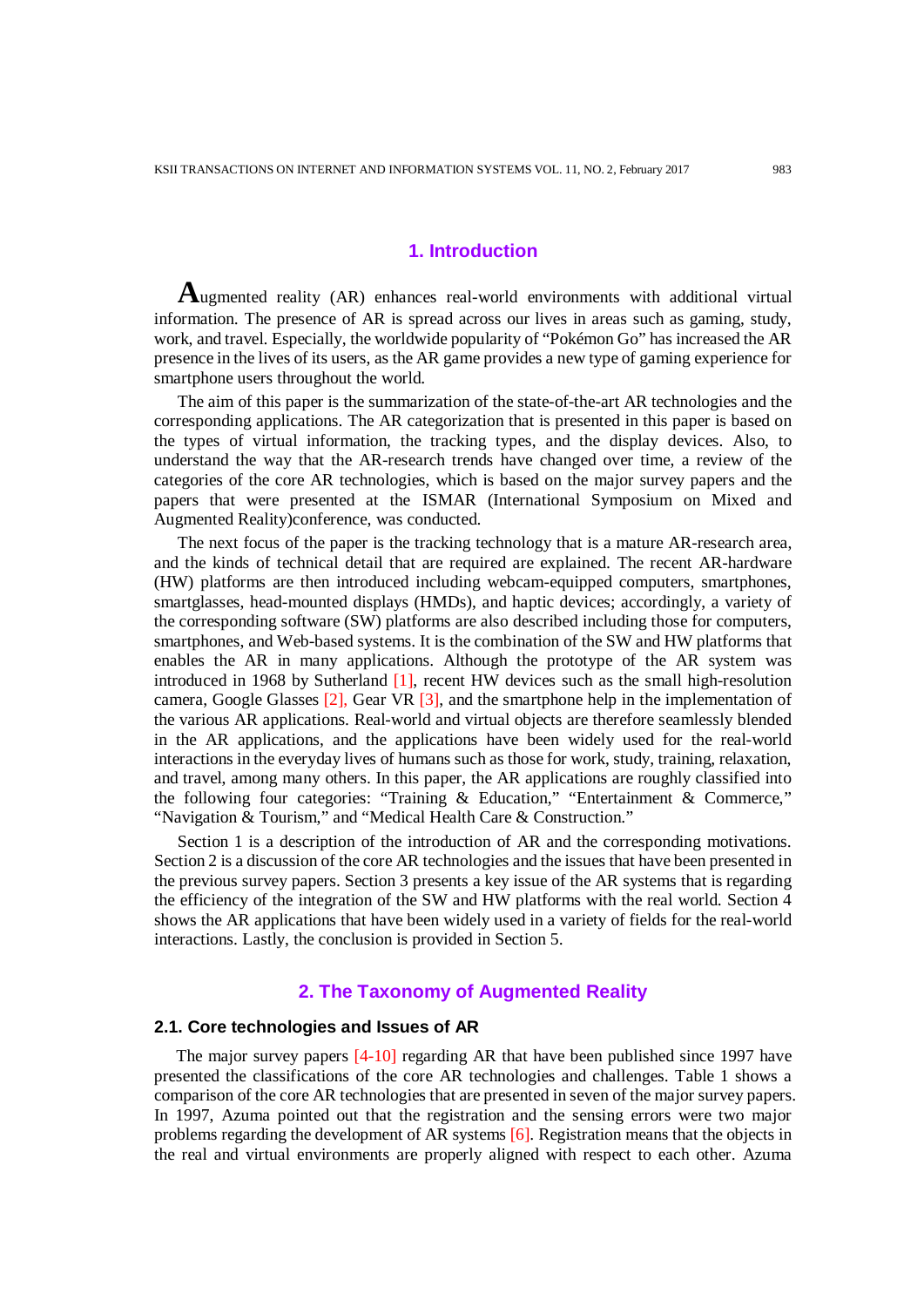## **1. Introduction**

**A**ugmented reality (AR) enhances real-world environments with additional virtual information. The presence of AR is spread across our lives in areas such as gaming, study, work, and travel. Especially, the worldwide popularity of "Pokémon Go" has increased the AR presence in the lives of its users, as the AR game provides a new type of gaming experience for smartphone users throughout the world.

The aim of this paper is the summarization of the state-of-the-art AR technologies and the corresponding applications. The AR categorization that is presented in this paper is based on the types of virtual information, the tracking types, and the display devices. Also, to understand the way that the AR-research trends have changed over time, a review of the categories of the core AR technologies, which is based on the major survey papers and the papers that were presented at the ISMAR (International Symposium on Mixed and Augmented Reality)conference, was conducted.

The next focus of the paper is the tracking technology that is a mature AR-research area, and the kinds of technical detail that are required are explained. The recent AR-hardware (HW) platforms are then introduced including webcam-equipped computers, smartphones, smartglasses, head-mounted displays (HMDs), and haptic devices; accordingly, a variety of the corresponding software (SW) platforms are also described including those for computers, smartphones, and Web-based systems. It is the combination of the SW and HW platforms that enables the AR in many applications. Although the prototype of the AR system was introduced in 1968 by Sutherland [1], recent HW devices such as the small high-resolution camera, Google Glasses [2], Gear VR [3], and the smartphone help in the implementation of the various AR applications. Real-world and virtual objects are therefore seamlessly blended in the AR applications, and the applications have been widely used for the real-world interactions in the everyday lives of humans such as those for work, study, training, relaxation, and travel, among many others. In this paper, the AR applications are roughly classified into the following four categories: "Training & Education," "Entertainment & Commerce," "Navigation & Tourism," and "Medical Health Care & Construction."

Section 1 is a description of the introduction of AR and the corresponding motivations. Section 2 is a discussion of the core AR technologies and the issues that have been presented in the previous survey papers. Section 3 presents a key issue of the AR systems that is regarding the efficiency of the integration of the SW and HW platforms with the real world. Section 4 shows the AR applications that have been widely used in a variety of fields for the real-world interactions. Lastly, the conclusion is provided in Section 5.

#### **2. The Taxonomy of Augmented Reality**

### **2.1. Core technologies and Issues of AR**

The major survey papers [4-10] regarding AR that have been published since 1997 have presented the classifications of the core AR technologies and challenges. Table 1 shows a comparison of the core AR technologies that are presented in seven of the major survey papers. In 1997, Azuma pointed out that the registration and the sensing errors were two major problems regarding the development of AR systems [6]. Registration means that the objects in the real and virtual environments are properly aligned with respect to each other. Azuma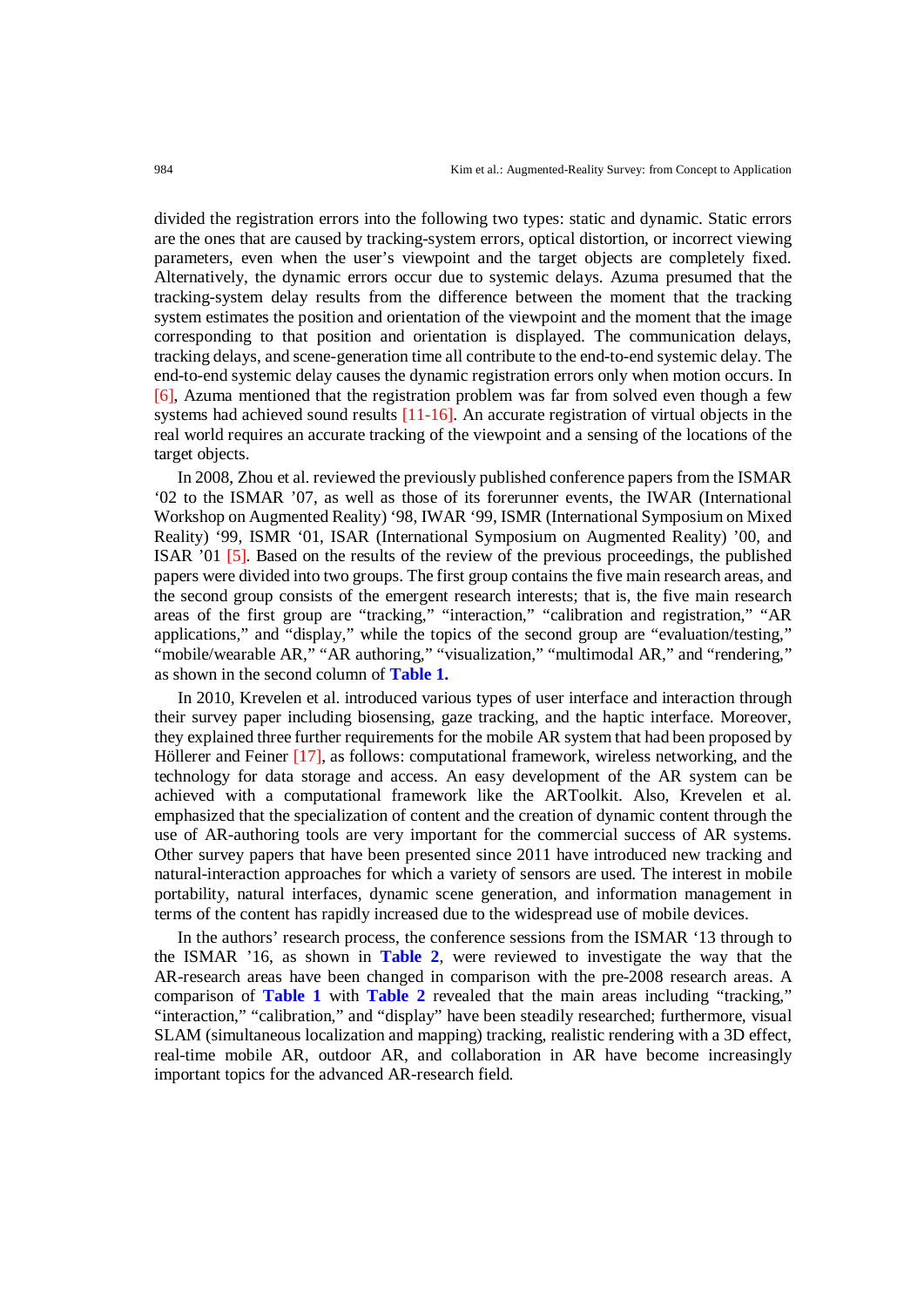divided the registration errors into the following two types: static and dynamic. Static errors are the ones that are caused by tracking-system errors, optical distortion, or incorrect viewing parameters, even when the user's viewpoint and the target objects are completely fixed. Alternatively, the dynamic errors occur due to systemic delays. Azuma presumed that the tracking-system delay results from the difference between the moment that the tracking system estimates the position and orientation of the viewpoint and the moment that the image corresponding to that position and orientation is displayed. The communication delays, tracking delays, and scene-generation time all contribute to the end-to-end systemic delay. The end-to-end systemic delay causes the dynamic registration errors only when motion occurs. In [6], Azuma mentioned that the registration problem was far from solved even though a few systems had achieved sound results [11-16]. An accurate registration of virtual objects in the real world requires an accurate tracking of the viewpoint and a sensing of the locations of the target objects.

In 2008, Zhou et al. reviewed the previously published conference papers from the ISMAR '02 to the ISMAR '07, as well as those of its forerunner events, the IWAR (International Workshop on Augmented Reality) '98, IWAR '99, ISMR (International Symposium on Mixed Reality) '99, ISMR '01, ISAR (International Symposium on Augmented Reality) '00, and ISAR '01 [5]. Based on the results of the review of the previous proceedings, the published papers were divided into two groups. The first group contains the five main research areas, and the second group consists of the emergent research interests; that is, the five main research areas of the first group are "tracking," "interaction," "calibration and registration," "AR applications," and "display," while the topics of the second group are "evaluation/testing," "mobile/wearable AR," "AR authoring," "visualization," "multimodal AR," and "rendering," as shown in the second column of **Table 1.**

In 2010, Krevelen et al. introduced various types of user interface and interaction through their survey paper including biosensing, gaze tracking, and the haptic interface. Moreover, they explained three further requirements for the mobile AR system that had been proposed by Höllerer and Feiner [17], as follows: computational framework, wireless networking, and the technology for data storage and access. An easy development of the AR system can be achieved with a computational framework like the ARToolkit. Also, Krevelen et al. emphasized that the specialization of content and the creation of dynamic content through the use of AR-authoring tools are very important for the commercial success of AR systems. Other survey papers that have been presented since 2011 have introduced new tracking and natural-interaction approaches for which a variety of sensors are used. The interest in mobile portability, natural interfaces, dynamic scene generation, and information management in terms of the content has rapidly increased due to the widespread use of mobile devices.

In the authors' research process, the conference sessions from the ISMAR '13 through to the ISMAR '16, as shown in **Table 2**, were reviewed to investigate the way that the AR-research areas have been changed in comparison with the pre-2008 research areas. A comparison of **Table 1** with **Table 2** revealed that the main areas including "tracking," "interaction," "calibration," and "display" have been steadily researched; furthermore, visual SLAM (simultaneous localization and mapping) tracking, realistic rendering with a 3D effect, real-time mobile AR, outdoor AR, and collaboration in AR have become increasingly important topics for the advanced AR-research field.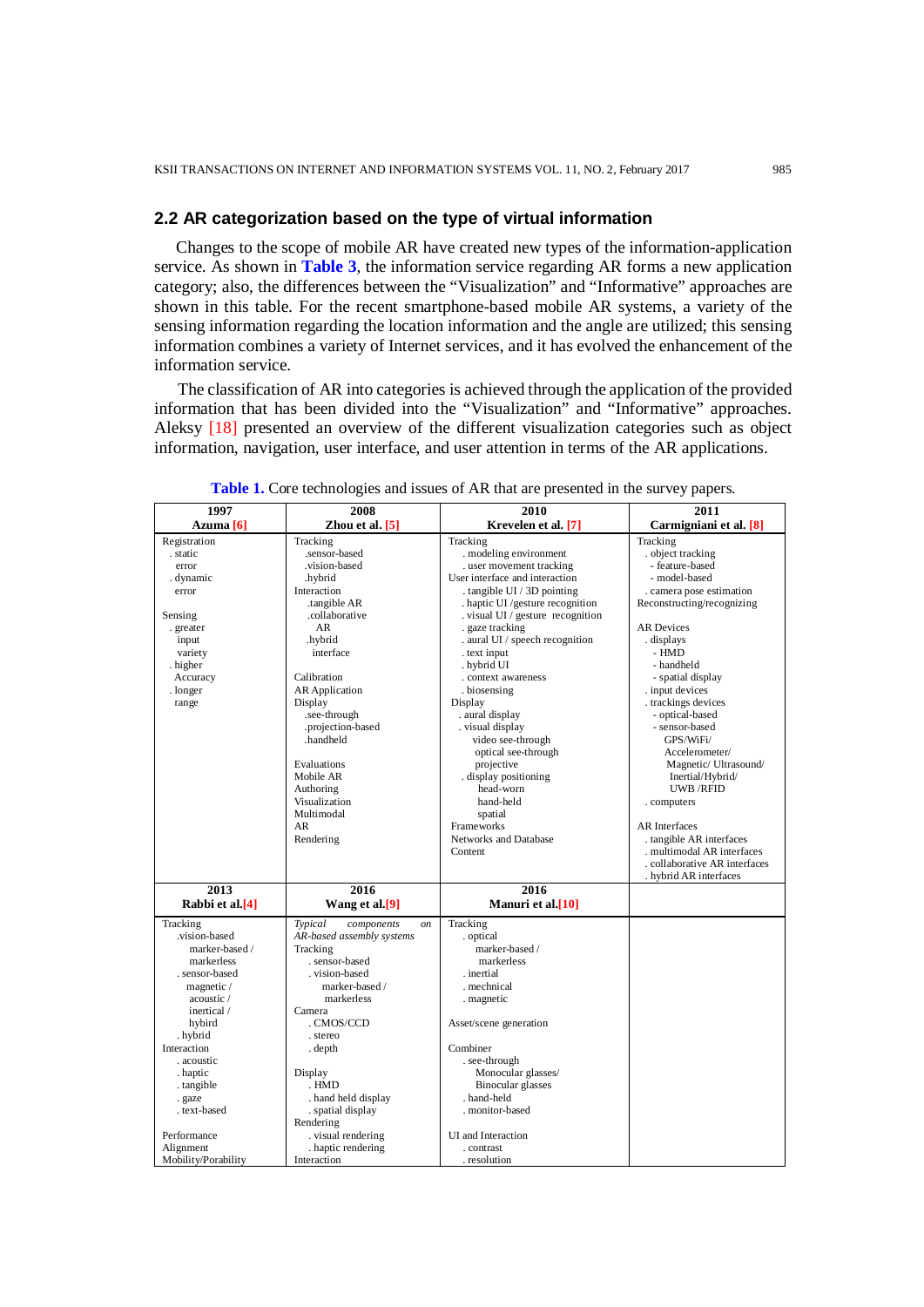#### **2.2 AR categorization based on the type of virtual information**

Changes to the scope of mobile AR have created new types of the information-application service. As shown in **Table 3**, the information service regarding AR forms a new application category; also, the differences between the "Visualization" and "Informative" approaches are shown in this table. For the recent smartphone-based mobile AR systems, a variety of the sensing information regarding the location information and the angle are utilized; this sensing information combines a variety of Internet services, and it has evolved the enhancement of the information service.

The classification of AR into categories is achieved through the application of the provided information that has been divided into the "Visualization" and "Informative" approaches. Aleksy [18] presented an overview of the different visualization categories such as object information, navigation, user interface, and user attention in terms of the AR applications.

| 1997                | 2008                                   | 2010                              | 2011                        |
|---------------------|----------------------------------------|-----------------------------------|-----------------------------|
| Azuma [6]           | Zhou et al. [5]                        | Krevelen et al. [7]               | Carmigniani et al. [8]      |
| Registration        | Tracking                               | Tracking                          | Tracking                    |
| . static            | .sensor-based                          | . modeling environment            | . object tracking           |
| error               | vision-based                           | . user movement tracking          | - feature-based             |
| . dynamic           | hybrid.                                | User interface and interaction    | - model-based               |
| error               | Interaction                            | . tangible UI / 3D pointing       | . camera pose estimation    |
|                     | .tangible AR                           | . haptic UI /gesture recognition  | Reconstructing/recognizing  |
| Sensing             | .collaborative                         | . visual UI / gesture recognition |                             |
| . greater           | AR                                     | . gaze tracking                   | <b>AR</b> Devices           |
| input               | .hybrid                                | . aural UI / speech recognition   | displays.                   |
| variety             | interface                              | . text input                      | - HMD                       |
| higher.             |                                        | . hybrid UI                       | - handheld                  |
| Accuracy            | Calibration                            | . context awareness               | - spatial display           |
| . longer            | <b>AR</b> Application                  | . biosensing                      | . input devices             |
| range               | Display                                | Display                           | . trackings devices         |
|                     | .see-through                           | . aural display                   | - optical-based             |
|                     | .projection-based                      | . visual display                  | - sensor-based              |
|                     | .handheld                              | video see-through                 | GPS/WiFi/                   |
|                     |                                        | optical see-through               | Accelerometer/              |
|                     | Evaluations                            | projective                        | Magnetic/ Ultrasound/       |
|                     | Mobile AR                              | display positioning               | Inertial/Hybrid/            |
|                     | Authoring                              | head-worn                         | <b>UWB/RFID</b>             |
|                     | Visualization                          | hand-held                         | . computers                 |
|                     | Multimodal                             | spatial                           |                             |
|                     | AR                                     | Frameworks                        | <b>AR</b> Interfaces        |
|                     | Rendering                              | Networks and Database             | . tangible AR interfaces    |
|                     |                                        | Content                           | . multimodal AR interfaces  |
|                     |                                        |                                   | collaborative AR interfaces |
|                     |                                        |                                   | . hybrid AR interfaces      |
| 2013                | 2016                                   | 2016                              |                             |
| Rabbi et al.[4]     | Wang et al.[9]                         | Manuri et al.[10]                 |                             |
| Tracking            | Typical<br>components<br><sub>on</sub> | Tracking                          |                             |
| vision-based.       | AR-based assembly systems              | . optical                         |                             |
| marker-based /      | Tracking                               | marker-based /                    |                             |
| markerless          | . sensor-based                         | markerless                        |                             |
| . sensor-based      | . vision-based                         | . inertial                        |                             |
| magnetic /          | marker-based /                         | . mechnical                       |                             |
| acoustic /          | markerless                             | . magnetic                        |                             |
| inertical /         | Camera                                 |                                   |                             |
| hybird              | . CMOS/CCD                             | Asset/scene generation            |                             |
| . hybrid            | . stereo                               |                                   |                             |
| Interaction         | . depth                                | Combiner                          |                             |
| . acoustic          |                                        | . see-through                     |                             |
| . haptic            | Display                                | Monocular glasses/                |                             |
| . tangible          | . HMD                                  | <b>Binocular</b> glasses          |                             |
| . gaze              | . hand held display                    | . hand-held                       |                             |
| . text-based        | . spatial display                      | . monitor-based                   |                             |
|                     | Rendering                              |                                   |                             |
| Performance         | . visual rendering                     | UI and Interaction                |                             |
| Alignment           | haptic rendering                       | . contrast                        |                             |
| Mobility/Porability | Interaction                            | . resolution                      |                             |

**Table 1.** Core technologies and issues of AR that are presented in the survey papers.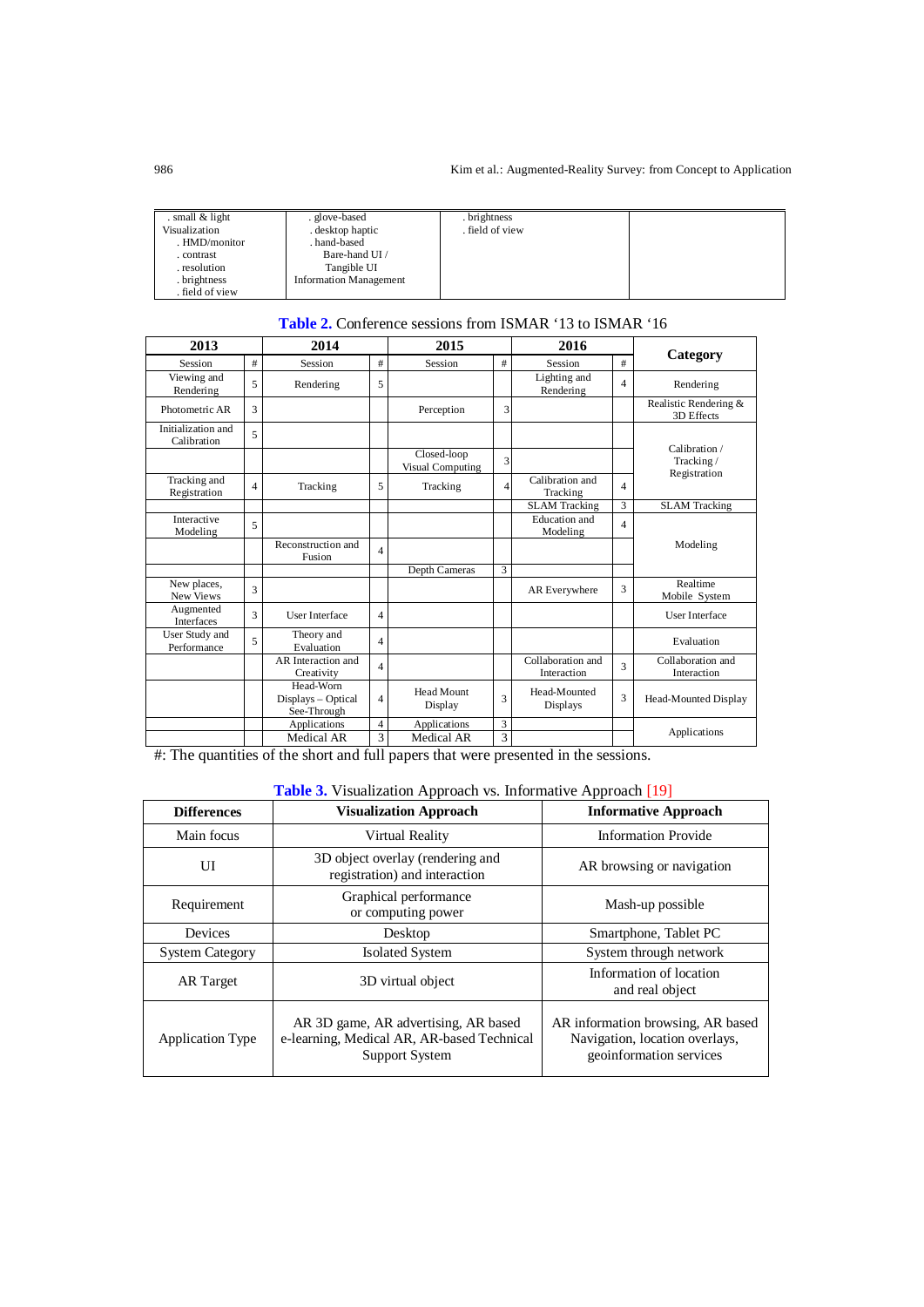| . small $&$ light | . glove-based                 | . brightness    |  |
|-------------------|-------------------------------|-----------------|--|
| Visualization     | . desktop haptic              | . field of view |  |
| . HMD/monitor     | hand-based                    |                 |  |
| . contrast        | Bare-hand UI /                |                 |  |
| . resolution      | Tangible UI                   |                 |  |
| . brightness      | <b>Information Management</b> |                 |  |
| field of view.    |                               |                 |  |

| <b>Table 2.</b> Conference sessions from ISMAR '13 to ISMAR '16 |
|-----------------------------------------------------------------|
|-----------------------------------------------------------------|

| 2013                              |                          | 2014                                           |                | 2015                            |                | 2016                             |                |                                     |
|-----------------------------------|--------------------------|------------------------------------------------|----------------|---------------------------------|----------------|----------------------------------|----------------|-------------------------------------|
| Session                           | #                        | Session                                        | #              | Session                         | #              | Session                          | #              | Category                            |
| Viewing and<br>Rendering          | 5                        | Rendering                                      | 5              |                                 |                | Lighting and<br>Rendering        | $\overline{4}$ | Rendering                           |
| Photometric AR                    | 3                        |                                                |                | Perception                      | 3              |                                  |                | Realistic Rendering &<br>3D Effects |
| Initialization and<br>Calibration | 5                        |                                                |                |                                 |                |                                  |                | Calibration /                       |
|                                   |                          |                                                |                | Closed-loop<br>Visual Computing | 3              |                                  |                | Tracking/<br>Registration           |
| Tracking and<br>Registration      | $\overline{\mathcal{L}}$ | Tracking                                       | 5              | Tracking                        | $\overline{4}$ | Calibration and<br>Tracking      | $\overline{4}$ |                                     |
|                                   |                          |                                                |                |                                 |                | <b>SLAM</b> Tracking             | 3              | <b>SLAM</b> Tracking                |
| Interactive<br>Modeling           | 5                        |                                                |                |                                 |                | Education and<br>Modeling        | $\overline{4}$ |                                     |
|                                   |                          | Reconstruction and<br>Fusion                   | $\overline{4}$ |                                 |                |                                  |                | Modeling                            |
|                                   |                          |                                                |                | Depth Cameras                   | 3              |                                  |                |                                     |
| New places,<br>New Views          | 3                        |                                                |                |                                 |                | AR Everywhere                    | 3              | Realtime<br>Mobile System           |
| Augmented<br><b>Interfaces</b>    | 3                        | <b>User Interface</b>                          | $\overline{4}$ |                                 |                |                                  |                | <b>User Interface</b>               |
| User Study and<br>Performance     | 5                        | Theory and<br>Evaluation                       | $\overline{4}$ |                                 |                |                                  |                | Evaluation                          |
|                                   |                          | AR Interaction and<br>Creativity               | $\overline{4}$ |                                 |                | Collaboration and<br>Interaction | 3              | Collaboration and<br>Interaction    |
|                                   |                          | Head-Worn<br>Displays - Optical<br>See-Through | $\overline{4}$ | Head Mount<br>Display           | 3              | Head-Mounted<br><b>Displays</b>  | 3              | Head-Mounted Display                |
|                                   |                          | Applications                                   | $\overline{4}$ | Applications                    | 3              |                                  |                | Applications                        |
|                                   |                          | Medical AR                                     | 3              | Medical AR                      | 3              |                                  |                |                                     |

#: The quantities of the short and full papers that were presented in the sessions.

## **Table 3.** Visualization Approach vs. Informative Approach [19]

| <b>Differences</b>      | <b>Visualization Approach</b>                                                                               | <b>Informative Approach</b>                                                                    |
|-------------------------|-------------------------------------------------------------------------------------------------------------|------------------------------------------------------------------------------------------------|
| Main focus              | Virtual Reality                                                                                             | <b>Information Provide</b>                                                                     |
| UI                      | 3D object overlay (rendering and<br>registration) and interaction                                           | AR browsing or navigation                                                                      |
| Requirement             | Graphical performance<br>or computing power                                                                 | Mash-up possible                                                                               |
| Devices                 | Desktop                                                                                                     | Smartphone, Tablet PC                                                                          |
| <b>System Category</b>  | <b>Isolated System</b>                                                                                      | System through network                                                                         |
| <b>AR</b> Target        | 3D virtual object                                                                                           | Information of location<br>and real object                                                     |
| <b>Application Type</b> | AR 3D game, AR advertising, AR based<br>e-learning, Medical AR, AR-based Technical<br><b>Support System</b> | AR information browsing, AR based<br>Navigation, location overlays,<br>geoinformation services |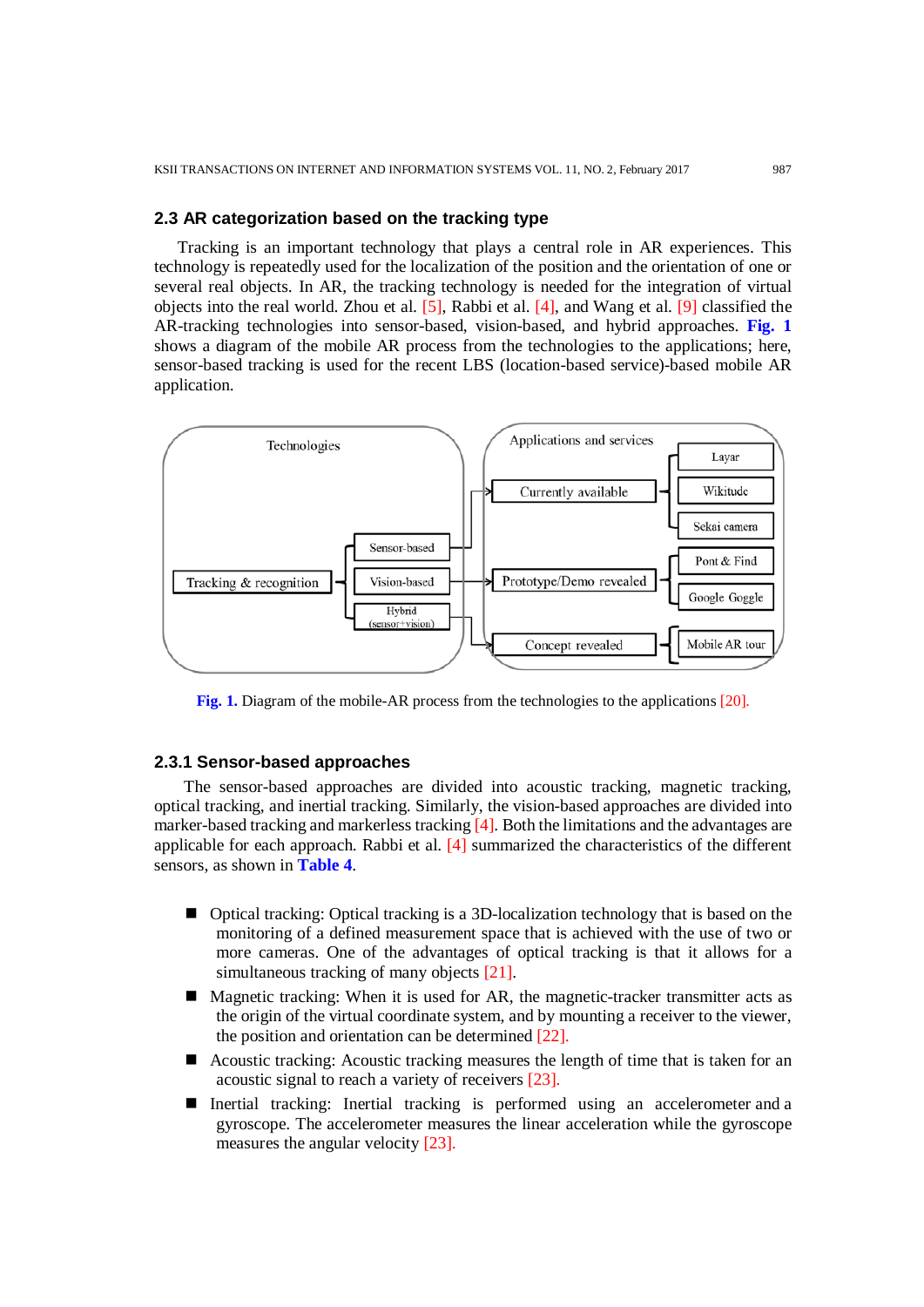## **2.3 AR categorization based on the tracking type**

Tracking is an important technology that plays a central role in AR experiences. This technology is repeatedly used for the localization of the position and the orientation of one or several real objects. In AR, the tracking technology is needed for the integration of virtual objects into the real world. Zhou et al. [5], Rabbi et al. [4], and Wang et al. [9] classified the AR-tracking technologies into sensor-based, vision-based, and hybrid approaches. **Fig. 1** shows a diagram of the mobile AR process from the technologies to the applications; here, sensor-based tracking is used for the recent LBS (location-based service)-based mobile AR application.



**Fig. 1.** Diagram of the mobile-AR process from the technologies to the applications [20].

## **2.3.1 Sensor-based approaches**

 The sensor-based approaches are divided into acoustic tracking, magnetic tracking, optical tracking, and inertial tracking. Similarly, the vision-based approaches are divided into marker-based tracking and markerless tracking [4]. Both the limitations and the advantages are applicable for each approach. Rabbi et al. [4] summarized the characteristics of the different sensors, as shown in **Table 4**.

- Optical tracking: Optical tracking is a 3D-localization technology that is based on the monitoring of a defined measurement space that is achieved with the use of two or more cameras. One of the advantages of optical tracking is that it allows for a simultaneous tracking of many objects [21].
- Magnetic tracking: When it is used for AR, the magnetic-tracker transmitter acts as the origin of the virtual coordinate system, and by mounting a receiver to the viewer, the position and orientation can be determined [22].
- Acoustic tracking: Acoustic tracking measures the length of time that is taken for an acoustic signal to reach a variety of receivers [23].
- Inertial tracking: Inertial tracking is performed using an [accelerometer](http://xinreality.com/wiki/Accelerometer) and a [gyroscope.](http://xinreality.com/wiki/Gyroscope) The accelerometer measures the linear acceleration while the gyroscope measures the angular velocity [23].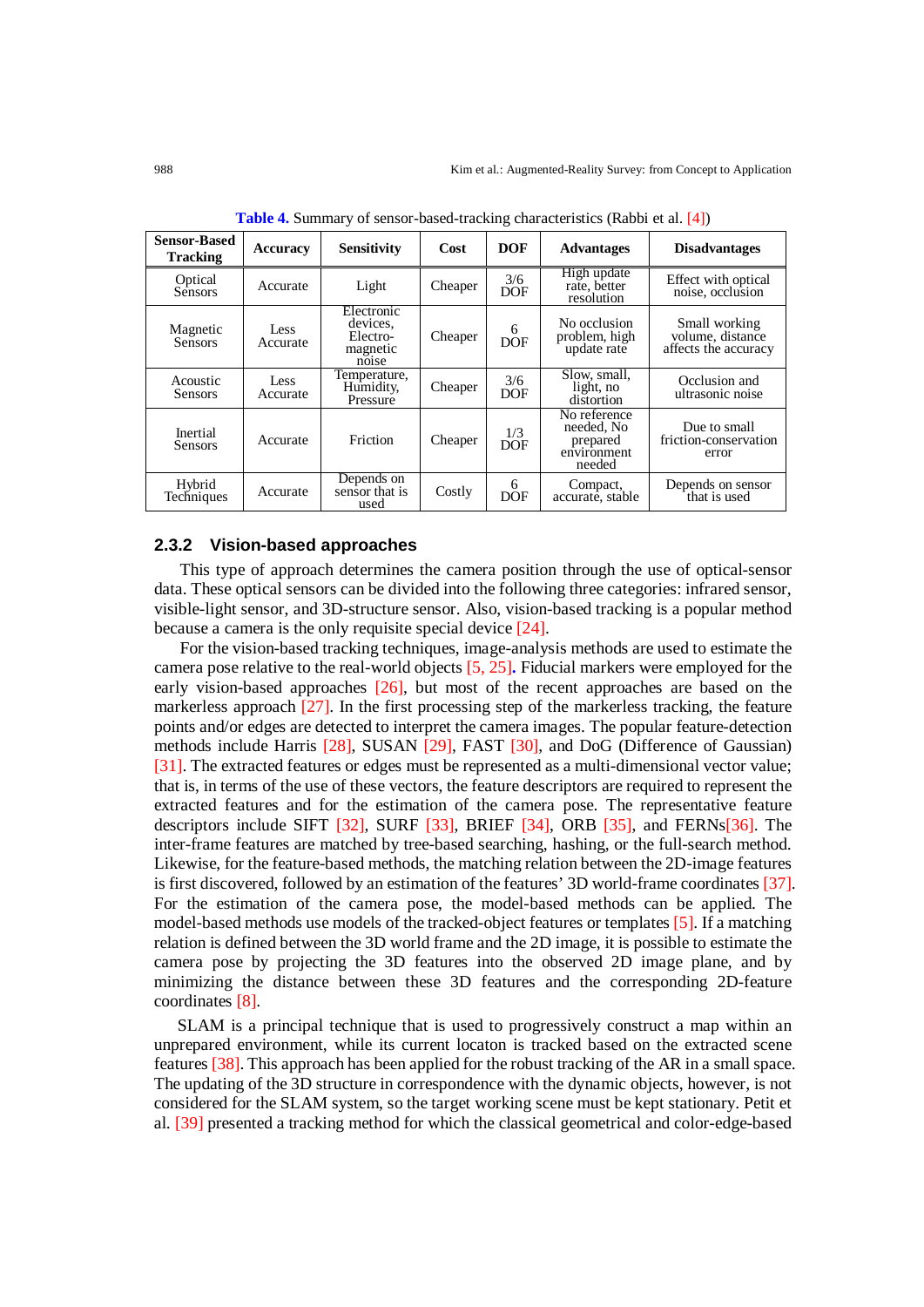| <b>Sensor-Based</b><br><b>Tracking</b> | Accuracy         | <b>Sensitivity</b>                                      | Cost    | <b>DOF</b>        | <b>Advantages</b>                                               | <b>Disadvantages</b>                                      |
|----------------------------------------|------------------|---------------------------------------------------------|---------|-------------------|-----------------------------------------------------------------|-----------------------------------------------------------|
| Optical<br>Sensors                     | Accurate         | Light                                                   | Cheaper | 3/6<br><b>DOF</b> | High update<br>rate, better<br>resolution                       | Effect with optical<br>noise, occlusion                   |
| Magnetic<br>Sensors                    | Less<br>Accurate | Electronic<br>devices.<br>Electro-<br>magnetic<br>noise | Cheaper | 6<br><b>DOF</b>   | No occlusion<br>problem, high<br>update rate                    | Small working<br>volume, distance<br>affects the accuracy |
| Acoustic<br>Sensors                    | Less<br>Accurate | Temperature,<br>Humidity,<br>Pressure                   | Cheaper | 3/6<br><b>DOF</b> | Slow, small,<br>light, no<br>distortion                         | Occlusion and<br>ultrasonic noise                         |
| Inertial<br>Sensors                    | Accurate         | Friction                                                | Cheaper | 1/3<br><b>DOF</b> | No reference<br>needed, No<br>prepared<br>environment<br>needed | Due to small<br>friction-conservation<br>error            |
| Hybrid<br>Techniques                   | Accurate         | Depends on<br>sensor that is<br>used                    | Costly  | 6<br>DOF          | Compact,<br>accurate, stable                                    | Depends on sensor<br>that is used                         |

**Table 4.** Summary of sensor-based-tracking characteristics (Rabbi et al. [4])

#### **2.3.2 Vision-based approaches**

This type of approach determines the camera position through the use of optical-sensor data. These optical sensors can be divided into the following three categories: infrared sensor, visible-light sensor, and 3D-structure sensor. Also, vision-based tracking is a popular method because a camera is the only requisite special device [24].

For the vision-based tracking techniques, image-analysis methods are used to estimate the camera pose relative to the real-world objects [5, 25]**.** Fiducial markers were employed for the early vision-based approaches [26], but most of the recent approaches are based on the markerless approach [27]. In the first processing step of the markerless tracking, the feature points and/or edges are detected to interpret the camera images. The popular feature-detection methods include Harris [28], SUSAN [29], FAST [30], and DoG (Difference of Gaussian) [31]. The extracted features or edges must be represented as a multi-dimensional vector value; that is, in terms of the use of these vectors, the feature descriptors are required to represent the extracted features and for the estimation of the camera pose. The representative feature descriptors include SIFT [32], SURF [33], BRIEF [34], ORB [35], and FERNs[36]. The inter-frame features are matched by tree-based searching, hashing, or the full-search method. Likewise, for the feature-based methods, the matching relation between the 2D-image features is first discovered, followed by an estimation of the features' 3D world-frame coordinates [37]. For the estimation of the camera pose, the model-based methods can be applied. The model-based methods use models of the tracked-object features or templates [5]. If a matching relation is defined between the 3D world frame and the 2D image, it is possible to estimate the camera pose by projecting the 3D features into the observed 2D image plane, and by minimizing the distance between these 3D features and the corresponding 2D-feature coordinates [8].

SLAM is a principal technique that is used to progressively construct a map within an unprepared environment, while its current locaton is tracked based on the extracted scene features [38]. This approach has been applied for the robust tracking of the AR in a small space. The updating of the 3D structure in correspondence with the dynamic objects, however, is not considered for the SLAM system, so the target working scene must be kept stationary. Petit et al. [39] presented a tracking method for which the classical geometrical and color-edge-based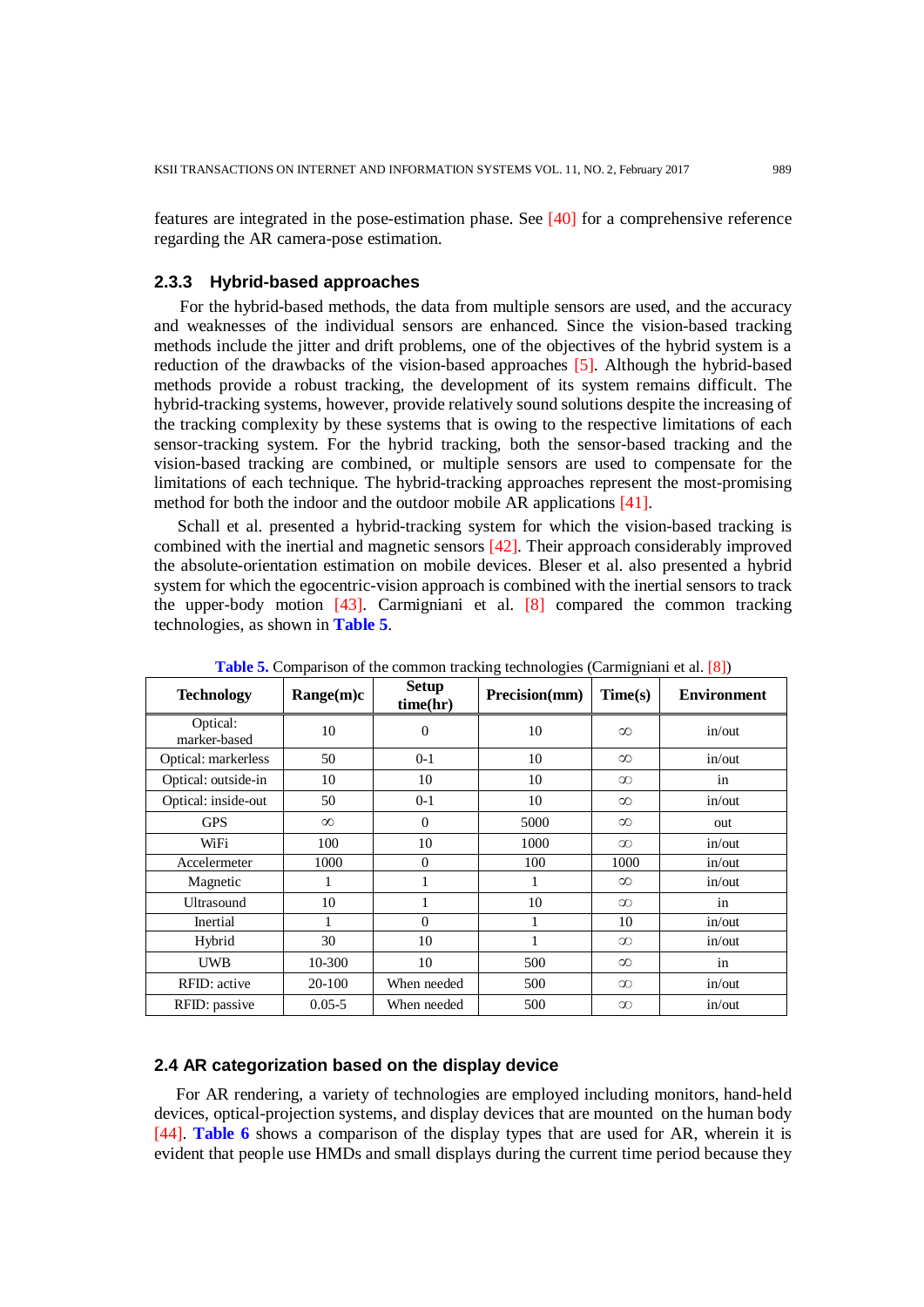features are integrated in the pose-estimation phase. See [40] for a comprehensive reference regarding the AR camera-pose estimation.

## **2.3.3 Hybrid-based approaches**

For the hybrid-based methods, the data from multiple sensors are used, and the accuracy and weaknesses of the individual sensors are enhanced. Since the vision-based tracking methods include the jitter and drift problems, one of the objectives of the hybrid system is a reduction of the drawbacks of the vision-based approaches [5]. Although the hybrid-based methods provide a robust tracking, the development of its system remains difficult. The hybrid-tracking systems, however, provide relatively sound solutions despite the increasing of the tracking complexity by these systems that is owing to the respective limitations of each sensor-tracking system. For the hybrid tracking, both the sensor-based tracking and the vision-based tracking are combined, or multiple sensors are used to compensate for the limitations of each technique. The hybrid-tracking approaches represent the most-promising method for both the indoor and the outdoor mobile AR applications [41].

Schall et al. presented a hybrid-tracking system for which the vision-based tracking is combined with the inertial and magnetic sensors [42]. Their approach considerably improved the absolute-orientation estimation on mobile devices. Bleser et al. also presented a hybrid system for which the egocentric-vision approach is combined with the inertial sensors to track the upper-body motion  $[43]$ . Carmigniani et al.  $[8]$  compared the common tracking technologies, as shown in **Table 5**.

| <b>Table 5.</b> Comparison of the common tracking technologies (Carmighian et al. [6]) |            |                          |               |          |                    |  |
|----------------------------------------------------------------------------------------|------------|--------------------------|---------------|----------|--------------------|--|
| <b>Technology</b>                                                                      | Range(m)c  | <b>Setup</b><br>time(hr) | Precision(mm) | Time(s)  | <b>Environment</b> |  |
| Optical:<br>marker-based                                                               | 10         | $\boldsymbol{0}$         | 10            | $\infty$ | in/out             |  |
| Optical: markerless                                                                    | 50         | $0 - 1$                  | 10            | $\infty$ | in/out             |  |
| Optical: outside-in                                                                    | 10         | 10                       | 10            | $\infty$ | in                 |  |
| Optical: inside-out                                                                    | 50         | $0-1$                    | 10            | $\infty$ | in/out             |  |
| <b>GPS</b>                                                                             | $\infty$   | $\theta$                 | 5000          | $\infty$ | out                |  |
| WiFi                                                                                   | 100        | 10                       | 1000          | $\infty$ | in/out             |  |
| Accelermeter                                                                           | 1000       | $\theta$                 | 100           | 1000     | in/out             |  |
| Magnetic                                                                               | 1          | 1                        | 1             | $\infty$ | in/out             |  |
| Ultrasound                                                                             | 10         | 1                        | 10            | $\infty$ | in                 |  |
| Inertial                                                                               |            | $\Omega$                 |               | 10       | in/out             |  |
| Hybrid                                                                                 | 30         | 10                       |               | $\infty$ | in/out             |  |
| <b>UWB</b>                                                                             | 10-300     | 10                       | 500           | $\infty$ | in                 |  |
| RFID: active                                                                           | 20-100     | When needed              | 500           | $\infty$ | in/out             |  |
| RFID: passive                                                                          | $0.05 - 5$ | When needed              | 500           | $\infty$ | in/out             |  |

**Table 5.** Comparison of the common tracking technologies (Carmigniani et al. [8])

## **2.4 AR categorization based on the display device**

For AR rendering, a variety of technologies are employed including monit[ors](https://en.wikipedia.org/wiki/Computer_monitor), [hand-held](https://en.wikipedia.org/wiki/Mobile_device)  [devices,](https://en.wikipedia.org/wiki/Mobile_device) [optical-projection systems,](https://en.wikipedia.org/wiki/Projector) and display devices that are mounted on the human body [44]. **Table 6** shows a comparison of the display types that are used for AR, wherein it is evident that people use HMDs and small displays during the current time period because they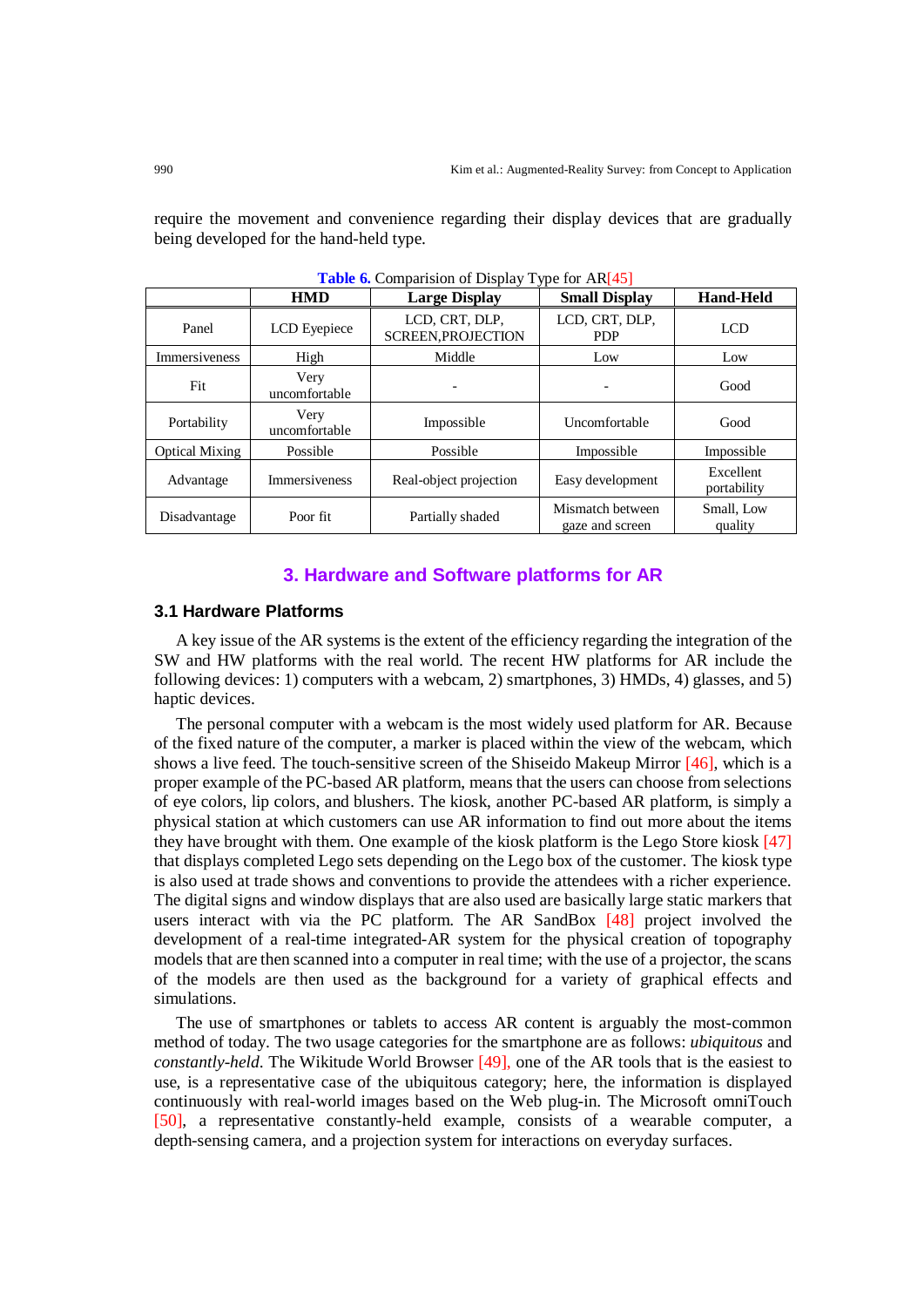require the movement and convenience regarding their display devices that are gradually being developed for the hand-held type.

|                       | <b>THOIC OF COMPUTIBION OF DRIPLEY TYPE FOLLING IDT</b> |                                             |                                     |                          |  |  |
|-----------------------|---------------------------------------------------------|---------------------------------------------|-------------------------------------|--------------------------|--|--|
|                       | <b>HMD</b>                                              | <b>Large Display</b>                        | <b>Small Display</b>                | <b>Hand-Held</b>         |  |  |
| Panel                 | LCD Eyepiece                                            | LCD, CRT, DLP,<br><b>SCREEN, PROJECTION</b> | LCD, CRT, DLP,<br><b>PDP</b>        | <b>LCD</b>               |  |  |
| Immersiveness         | High                                                    | Middle                                      | Low                                 | Low                      |  |  |
| Fit                   | Very<br>uncomfortable                                   | $\overline{a}$                              |                                     | Good                     |  |  |
| Portability           | Very<br>uncomfortable                                   | Impossible                                  | Uncomfortable                       | Good                     |  |  |
| <b>Optical Mixing</b> | Possible                                                | Possible                                    | Impossible                          | Impossible               |  |  |
| Advantage             | <b>Immersiveness</b>                                    | Real-object projection                      | Easy development                    | Excellent<br>portability |  |  |
| Disadvantage          | Poor fit                                                | Partially shaded                            | Mismatch between<br>gaze and screen | Small, Low<br>quality    |  |  |

**Table 6.** Comparision of Display Type for AR[45]

## **3. Hardware and Software platforms for AR**

## **3.1 Hardware Platforms**

A key issue of the AR systems is the extent of the efficiency regarding the integration of the SW and HW platforms with the real world. The recent HW platforms for AR include the following devices: 1) computers with a webcam, 2) smartphones, 3) HMDs, 4) glasses, and 5) haptic devices.

The personal computer with a webcam is the most widely used platform for AR. Because of the fixed nature of the computer, a marker is placed within the view of the webcam, which shows a live feed. The touch-sensitive screen of the Shiseido Makeup Mirror [46], which is a proper example of the PC-based AR platform, means that the users can choose from selections of eye colors, lip colors, and blushers. The kiosk, another PC-based AR platform, is simply a physical station at which customers can use AR information to find out more about the items they have brought with them. One example of the kiosk platform is the Lego Store kiosk [47] that displays completed Lego sets depending on the Lego box of the customer. The kiosk type is also used at trade shows and conventions to provide the attendees with a richer experience. The digital signs and window displays that are also used are basically large static markers that users interact with via the PC platform. The AR SandBox [48] project involved the development of a real-time integrated-AR system for the physical creation of topography models that are then scanned into a computer in real time; with the use of a projector, the scans of the models are then used as the background for a variety of graphical effects and simulations.

The use of smartphones or tablets to access AR content is arguably the most-common method of today. The two usage categories for the smartphone are as follows: *ubiquitous* and *constantly-held*. The Wikitude World Browser [49], one of the AR tools that is the easiest to use, is a representative case of the ubiquitous category; here, the information is displayed continuously with real-world images based on the Web plug-in. The Microsoft omniTouch [50], a representative constantly-held example, consists of a wearable computer, a depth-sensing camera, and a projection system for interactions on everyday surfaces.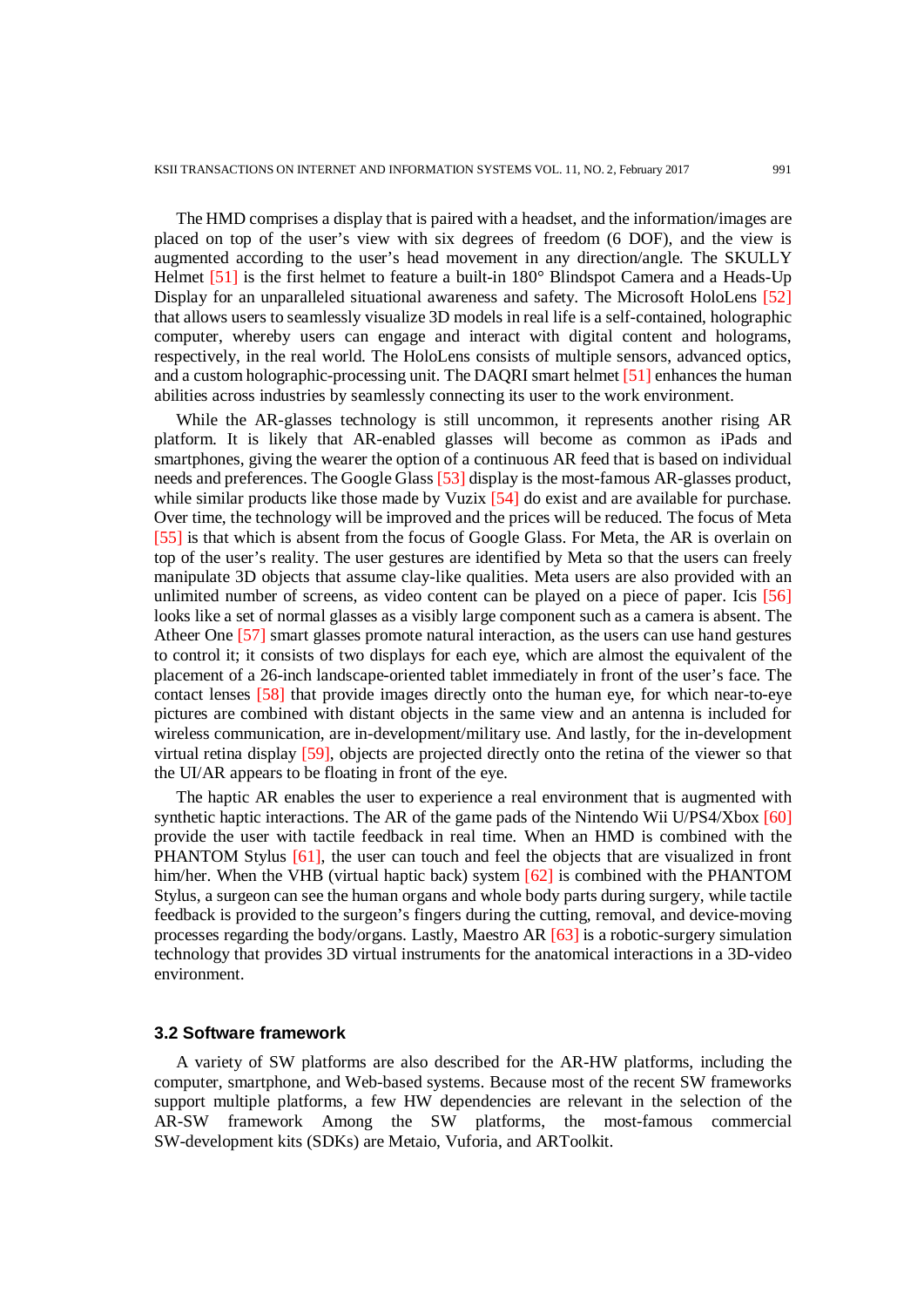The HMD comprises a display that is paired with a headset, and the information/images are placed on top of the user's view with six degrees of freedom (6 DOF), and the view is augmented according to the user's head movement in any direction/angle. The SKULLY Helmet [51] is the first helmet to feature a built-in 180° Blindspot Camera and a Heads-Up Display for an unparalleled situational awareness and safety. The Microsoft HoloLens [52] that allows users to seamlessly visualize 3D models in real life is a self-contained, holographic computer, whereby users can engage and interact with digital content and holograms, respectively, in the real world. The HoloLens consists of multiple sensors, advanced optics, and a custom holographic-processing unit. The DAQRI smart helmet [51] enhances the human abilities across industries by seamlessly connecting its user to the work environment.

While the AR-glasses technology is still uncommon, it represents another rising AR platform. It is likely that AR-enabled glasses will become as common as iPads and smartphones, giving the wearer the option of a continuous AR feed that is based on individual needs and preferences. The Google Glass [53] display is the most-famous AR-glasses product, while similar products like those made by Vuzix [54] do exist and are available for purchase. Over time, the technology will be improved and the prices will be reduced. The focus of Meta [55] is that which is absent from the focus of Google Glass. For Meta, the AR is overlain on top of the user's reality. The user gestures are identified by Meta so that the users can freely manipulate 3D objects that assume clay-like qualities. Meta users are also provided with an unlimited number of screens, as video content can be played on a piece of paper. Icis [56] looks like a set of normal glasses as a visibly large component such as a camera is absent. The Atheer One [57] smart glasses promote natural interaction, as the users can use hand gestures to control it; it consists of two displays for each eye, which are almost the equivalent of the placement of a 26-inch landscape-oriented tablet immediately in front of the user's face. The contact lenses [58] that provide images directly onto the human eye, for which near-to-eye pictures are combined with distant objects in the same view and an antenna is included for wireless communication, are in-development/military use. And lastly, for the in-development virtual retina display [59], objects are projected directly onto the retina of the viewer so that the UI/AR appears to be floating in front of the eye.

The haptic AR enables the user to experience a real environment that is augmented with synthetic haptic interactions. The AR of the game pads of the Nintendo Wii U/PS4/Xbox [60] provide the user with tactile feedback in real time. When an HMD is combined with the PHANTOM Stylus [61], the user can touch and feel the objects that are visualized in front him/her. When the VHB (virtual haptic back) system [62] is combined with the PHANTOM Stylus, a surgeon can see the human organs and whole body parts during surgery, while tactile feedback is provided to the surgeon's fingers during the cutting, removal, and device-moving processes regarding the body/organs. Lastly, Maestro AR [63] is a robotic-surgery simulation technology that provides 3D virtual instruments for the anatomical interactions in a 3D-video environment.

### **3.2 Software framework**

A variety of SW platforms are also described for the AR-HW platforms, including the computer, smartphone, and Web-based systems. Because most of the recent SW frameworks support multiple platforms, a few HW dependencies are relevant in the selection of the AR-SW framework Among the SW platforms, the most-famous commercial SW-development kits (SDKs) are Metaio, Vuforia, and ARToolkit.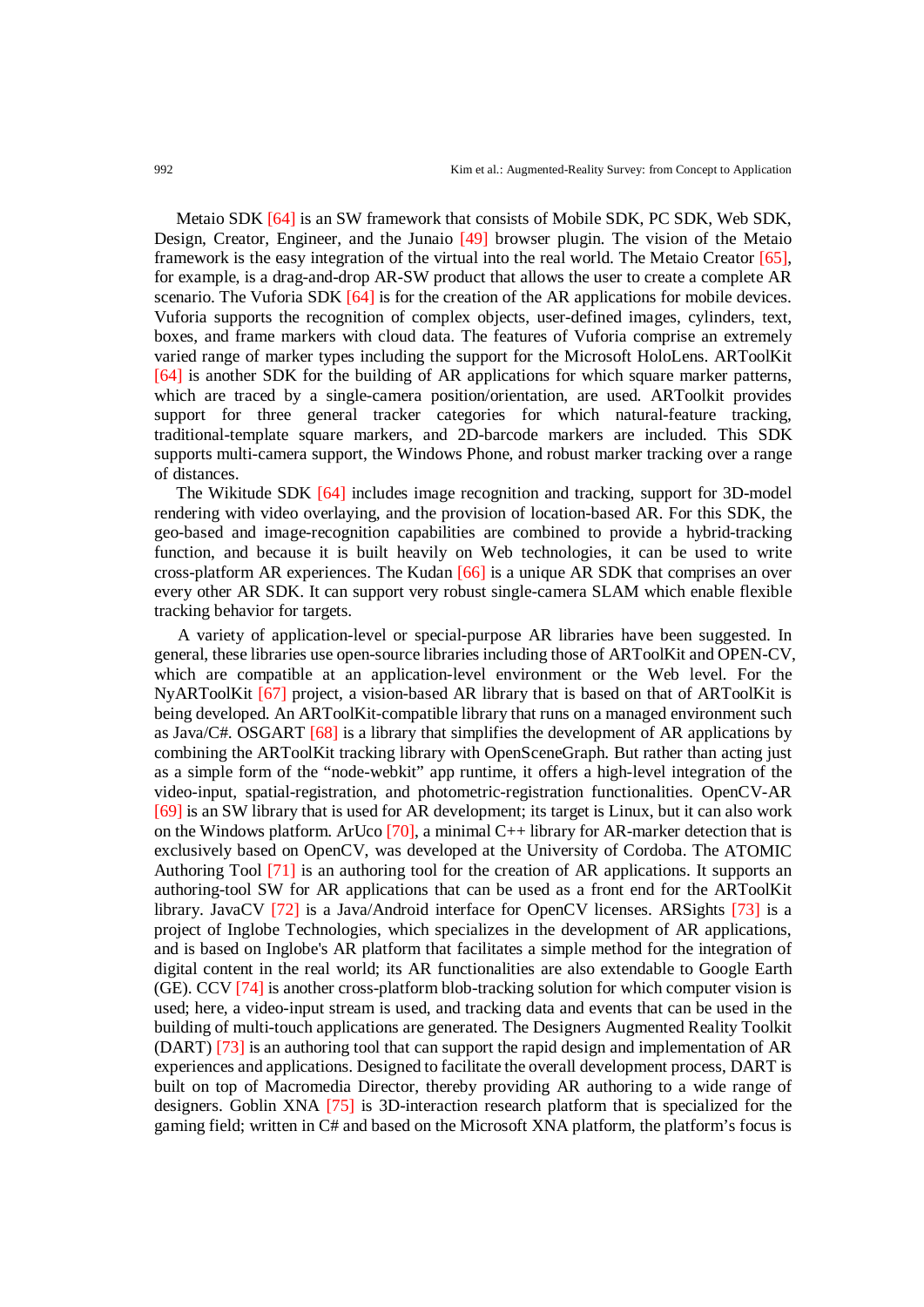Metaio SDK [64] is an SW framework that consists of Mobile SDK, PC SDK, Web SDK, Design, Creator, Engineer, and the Junaio [49] browser plugin. The vision of the Metaio framework is the easy integration of the virtual into the real world. The Metaio Creator [65], for example, is a drag-and-drop AR-SW product that allows the user to create a complete AR scenario. The Vuforia SDK [64] is for the creation of the AR applications for mobile devices. Vuforia supports the recognition of complex objects, user-defined images, cylinders, text, boxes, and frame markers with cloud data. The features of Vuforia comprise an extremely varied range of marker types including the support for the Microsoft HoloLens. ARToolKit [64] is another SDK for the building of AR applications for which square marker patterns, which are traced by a single-camera position/orientation, are used. ARToolkit provides support for three general tracker categories for which natural-feature tracking, traditional-template square markers, and 2D-barcode markers are included. This SDK supports multi-camera support, the Windows Phone, and robust marker tracking over a range of distances.

The Wikitude SDK [64] includes image recognition and tracking, support for 3D-model rendering with video overlaying, and the provision of location-based AR. For this SDK, the geo-based and image-recognition capabilities are combined to provide a hybrid-tracking function, and because it is built heavily on Web technologies, it can be used to write cross-platform AR experiences. The Kudan [66] is a unique AR SDK that comprises an over every other AR SDK. It can support very robust single-camera SLAM which enable flexible tracking behavior for targets.

A variety of application-level or special-purpose AR libraries have been suggested. In general, these libraries use open-source libraries including those of ARToolKit and OPEN-CV, which are compatible at an application-level environment or the Web level. For the NyARToolKit [67] project, a vision-based AR library that is based on that of ARToolKit is being developed. An ARToolKit-compatible library that runs on a managed environment such as Java/C#. OSGART [68] is a library that simplifies the development of AR applications by combining the ARToolKit tracking library with OpenSceneGraph. But rather than acting just as a simple form of the "node-webkit" app runtime, it offers a high-level integration of the video-input, spatial-registration, and photometric-registration functionalities. OpenCV-AR [69] is an SW library that is used for AR development; its target is Linux, but it can also work on the Windows platform. ArUco  $[70]$ , a minimal C++ library for AR-marker detection that is exclusively based on OpenCV, was developed at the University of Cordoba. The [ATOMIC](https://en.wikipedia.org/wiki/ATOMIC_Authoring_Tool)  [Authoring Tool](https://en.wikipedia.org/wiki/ATOMIC_Authoring_Tool) [71] is an authoring tool for the creation of AR applications. It supports an authoring-tool SW for AR applications that can be used as a front end for the ARToolKit library. JavaCV [72] is a Java/Android interface for OpenCV licenses. ARSights [73] is a project of Inglobe Technologies, which specializes in the development of AR applications, and is based on Inglobe's AR platform that facilitates a simple method for the integration of digital content in the real world; its AR functionalities are also extendable to Google Earth (GE). CCV [74] is another cross-platform blob-tracking solution for which computer vision is used; here, a video-input stream is used, and tracking data and events that can be used in the building of multi-touch applications are generated. The Designers Augmented Reality Toolkit (DART) [73] is an authoring tool that can support the rapid design and implementation of AR experiences and applications. Designed to facilitate the overall development process, DART is built on top of Macromedia Director, thereby providing AR authoring to a wide range of designers. Goblin XNA [75] is 3D-interaction research platform that is specialized for the gaming field; written in C# and based on the Microsoft XNA platform, the platform's focus is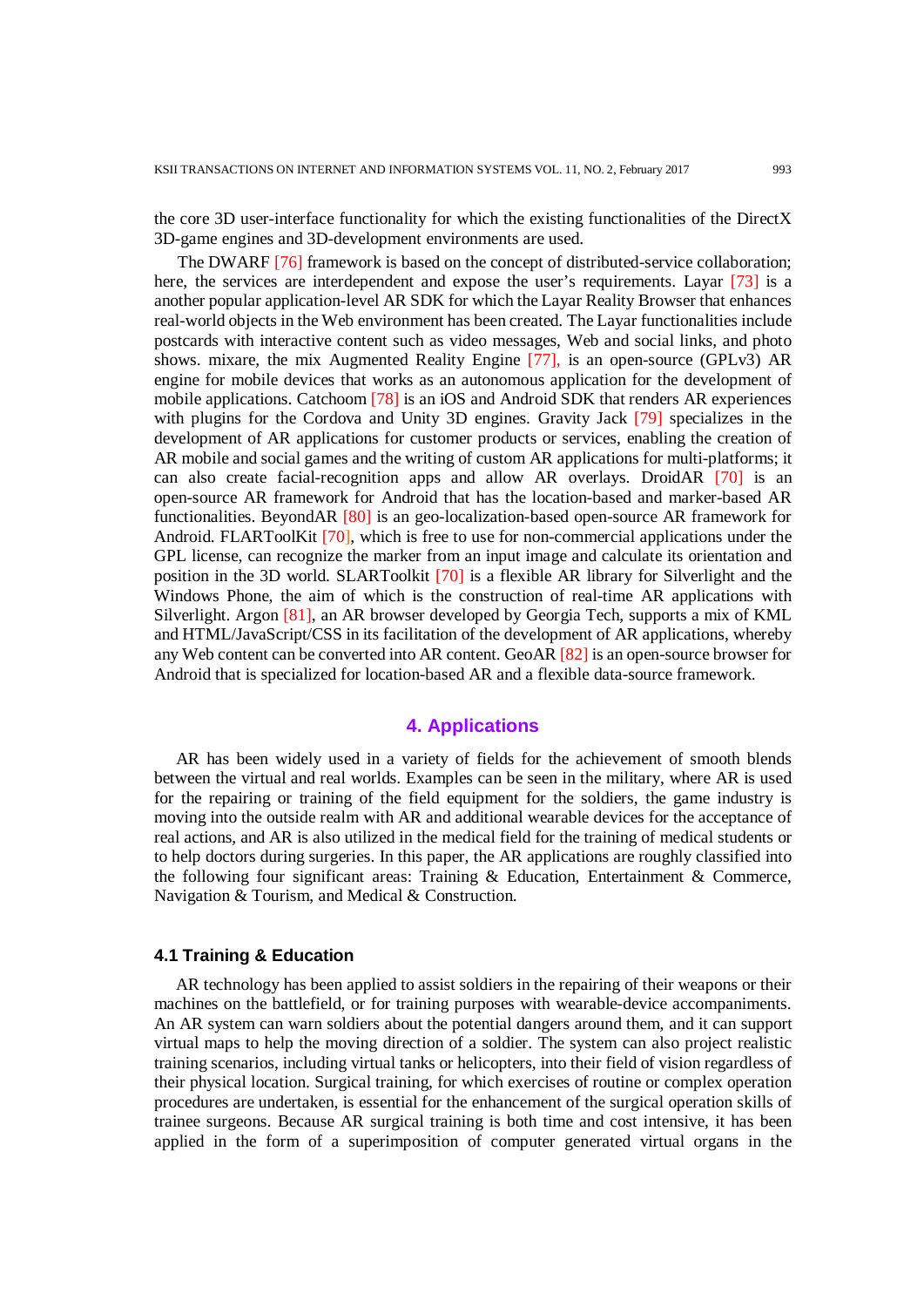the core 3D user-interface functionality for which the existing functionalities of the DirectX 3D-game engines and 3D-development environments are used.

The DWARF [76] framework is based on the concept of distributed-service collaboration; here, the services are interdependent and expose the user's requirements. Layar [73] is a another popular application-level AR SDK for which the Layar Reality Browser that enhances real-world objects in the Web environment has been created. The Layar functionalities include postcards with interactive content such as video messages, Web and social links, and photo shows. mixare, the mix Augmented Reality Engine [77], is an open-source (GPLv3) AR engine for mobile devices that works as an autonomous application for the development of mobile applications. Catchoom [78] is an iOS and Android SDK that renders AR experiences with plugins for the Cordova and Unity 3D engines. Gravity Jack [79] specializes in the development of AR applications for customer products or services, enabling the creation of AR mobile and social games and the writing of custom AR applications for multi-platforms; it can also create facial-recognition apps and allow AR overlays. DroidAR [70] is an open-source AR framework for Android that has the location-based and marker-based AR functionalities. BeyondAR [80] is an geo-localization-based open-source AR framework for Android. FLARToolKit [70], which is free to use for non-commercial applications under the GPL license, can recognize the marker from an input image and calculate its orientation and position in the 3D world. SLARToolkit [70] is a flexible AR library for Silverlight and the Windows Phone, the aim of which is the construction of real-time AR applications with Silverlight. Argon [81], an AR browser developed by Georgia Tech, supports a mix of KML and HTML/JavaScript/CSS in its facilitation of the development of AR applications, whereby any Web content can be converted into AR content. GeoAR [82] is an open-source browser for Android that is specialized for location-based AR and a flexible data-source framework.

## **4. Applications**

AR has been widely used in a variety of fields for the achievement of smooth blends between the virtual and real worlds. Examples can be seen in the military, where AR is used for the repairing or training of the field equipment for the soldiers, the game industry is moving into the outside realm with AR and additional wearable devices for the acceptance of real actions, and AR is also utilized in the medical field for the training of medical students or to help doctors during surgeries. In this paper, the AR applications are roughly classified into the following four significant areas: Training & Education, Entertainment & Commerce, Navigation & Tourism, and Medical & Construction.

#### **4.1 Training & Education**

AR technology has been applied to assist soldiers in the repairing of their weapons or their machines on the battlefield, or for training purposes with wearable-device accompaniments. An AR system can warn soldiers about the potential dangers around them, and it can support virtual maps to help the moving direction of a soldier. The system can also project realistic training scenarios, including virtual tanks or helicopters, into their field of vision regardless of their physical location. Surgical training, for which exercises of routine or complex operation procedures are undertaken, is essential for the enhancement of the surgical operation skills of trainee surgeons. Because AR surgical training is both time and cost intensive, it has been applied in the form of a superimposition of computer generated virtual organs in the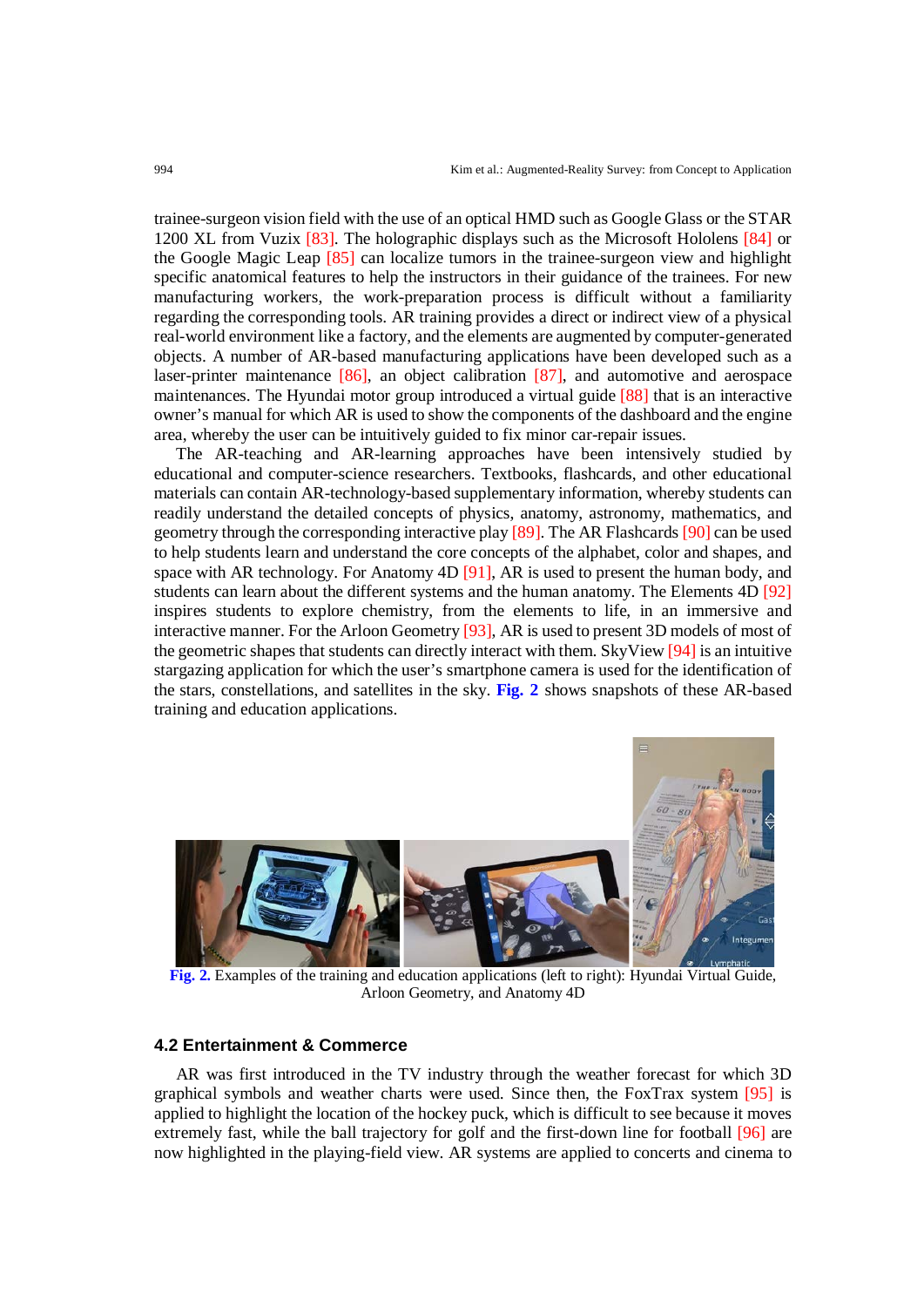trainee-surgeon vision field with the use of an optical HMD such as Google Glass or the STAR 1200 XL from Vuzix [83]. The holographic displays such as the Microsoft Hololens [84] or the Google Magic Leap [85] can localize tumors in the trainee-surgeon view and highlight specific anatomical features to help the instructors in their guidance of the trainees. For new manufacturing workers, the work-preparation process is difficult without a familiarity regarding the corresponding tools. AR training provides a direct or indirect view of a physical real-world environment like a factory, and the elements are augmented by computer-generated objects. A number of AR-based manufacturing applications have been developed such as a laser-printer maintenance [86], an object calibration [87], and automotive and aerospace maintenances. The Hyundai motor group introduced a virtual guide [88] that is an interactive owner's manual for which AR is used to show the components of the dashboard and the engine area, whereby the user can be intuitively guided to fix minor car-repair issues.

The AR-teaching and AR-learning approaches have been intensively studied by educational and computer-science researchers. Textbooks, flashcards, and other educational materials can contain AR-technology-based supplementary information, whereby students can readily understand the detailed concepts of physics, anatomy, astronomy, mathematics, and geometry through the corresponding interactive play [89]. The AR Flashcards [90] can be used to help students learn and understand the core concepts of the alphabet, color and shapes, and space with AR technology. For Anatomy 4D [91], AR is used to present the human body, and students can learn about the different systems and the human anatomy. The Elements 4D [92] inspires students to explore chemistry, from the elements to life, in an immersive and interactive manner. For the Arloon Geometry [93], AR is used to present 3D models of most of the geometric shapes that students can directly interact with them. SkyView [94] is an intuitive stargazing application for which the user's smartphone camera is used for the identification of the stars, constellations, and satellites in the sky. **Fig. 2** shows snapshots of these AR-based training and education applications.



**Fig. 2.** Examples of the training and education applications (left to right): Hyundai Virtual Guide, Arloon Geometry, and Anatomy 4D

#### **4.2 Entertainment & Commerce**

AR was first introduced in the TV industry through the weather forecast for which 3D graphical symbols and weather charts were used. Since then, the FoxTrax system [95] is applied to highlight the location of the hockey puck, which is difficult to see because it moves extremely fast, while the ball trajectory for golf and the first-down line for football [96] are now highlighted in the playing-field view. AR systems are applied to concerts and cinema to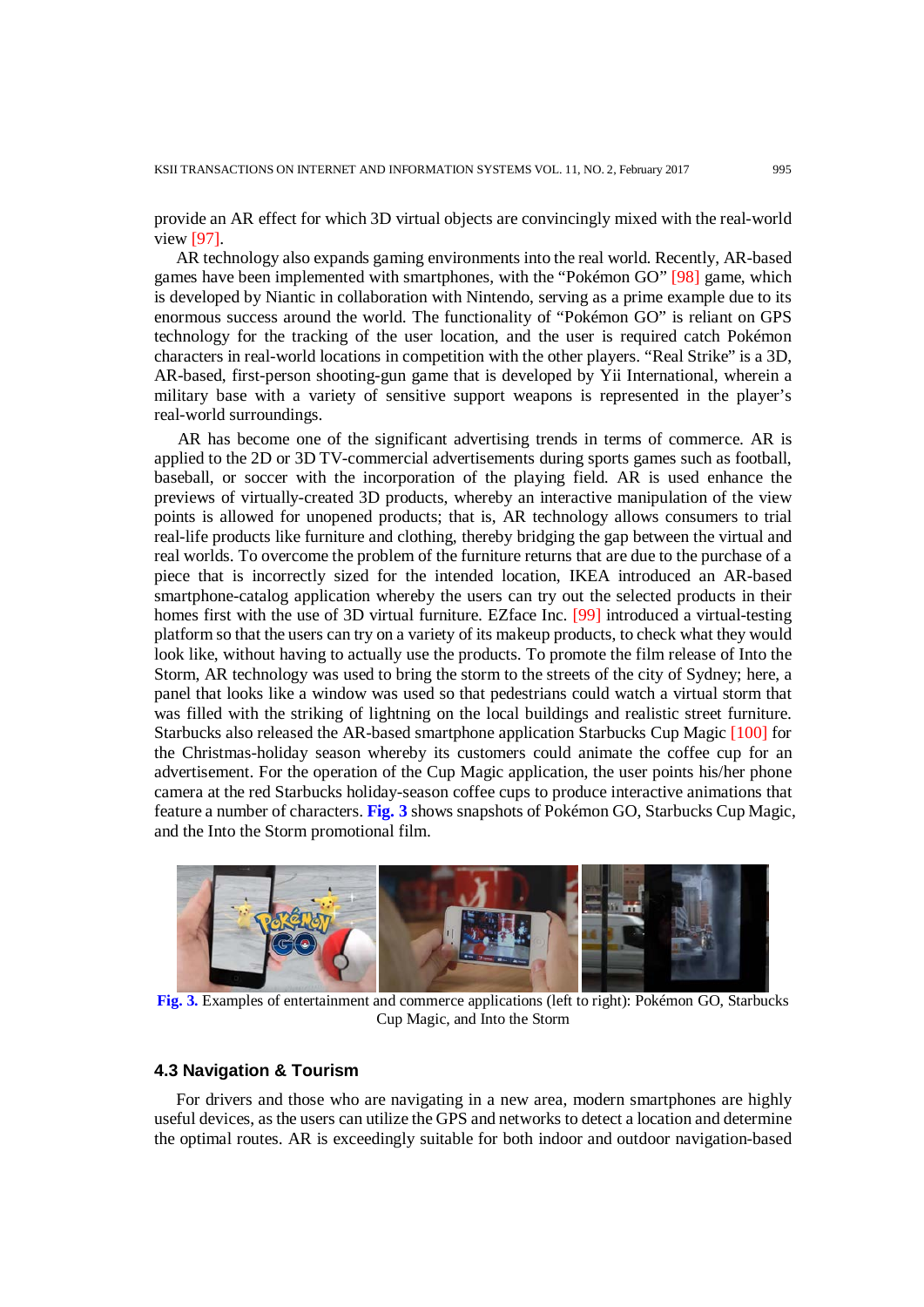provide an AR effect for which 3D virtual objects are convincingly mixed with the real-world view [97].

AR technology also expands gaming environments into the real world. Recently, AR-based games have been implemented with smartphones, with the "Pokémon GO" [98] game, which is developed by Niantic in collaboration with Nintendo, serving as a prime example due to its enormous success around the world. The functionality of "Pokémon GO" is reliant on GPS technology for the tracking of the user location, and the user is required catch Pokémon characters in real-world locations in competition with the other players. "Real Strike" is a 3D, AR-based, first-person shooting-gun game that is developed by Yii International, wherein a military base with a variety of sensitive support weapons is represented in the player's real-world surroundings.

AR has become one of the significant advertising trends in terms of commerce. AR is applied to the 2D or 3D TV-commercial advertisements during sports games such as football, baseball, or soccer with the incorporation of the playing field. AR is used enhance the previews of virtually-created 3D products, whereby an interactive manipulation of the view points is allowed for unopened products; that is, AR technology allows consumers to trial real-life products like furniture and clothing, thereby bridging the gap between the virtual and real worlds. To overcome the problem of the furniture returns that are due to the purchase of a piece that is incorrectly sized for the intended location, IKEA introduced an AR-based smartphone-catalog application whereby the users can try out the selected products in their homes first with the use of 3D virtual furniture. EZface Inc. [99] introduced a virtual-testing platform so that the users can try on a variety of its makeup products, to check what they would look like, without having to actually use the products. To promote the film release of Into the Storm, AR technology was used to bring the storm to the streets of the city of Sydney; here, a panel that looks like a window was used so that pedestrians could watch a virtual storm that was filled with the striking of lightning on the local buildings and realistic street furniture. Starbucks also released the AR-based smartphone application Starbucks Cup Magic [100] for the Christmas-holiday season whereby its customers could animate the coffee cup for an advertisement. For the operation of the Cup Magic application, the user points his/her phone camera at the red Starbucks holiday-season coffee cups to produce interactive animations that feature a number of characters. **Fig. 3** shows snapshots of Pokémon GO, Starbucks Cup Magic, and the Into the Storm promotional film.



**Fig. 3.** Examples of entertainment and commerce applications (left to right): Pokémon GO, Starbucks Cup Magic, and Into the Storm

#### **4.3 Navigation & Tourism**

For drivers and those who are navigating in a new area, modern smartphones are highly useful devices, as the users can utilize the GPS and networks to detect a location and determine the optimal routes. AR is exceedingly suitable for both indoor and outdoor navigation-based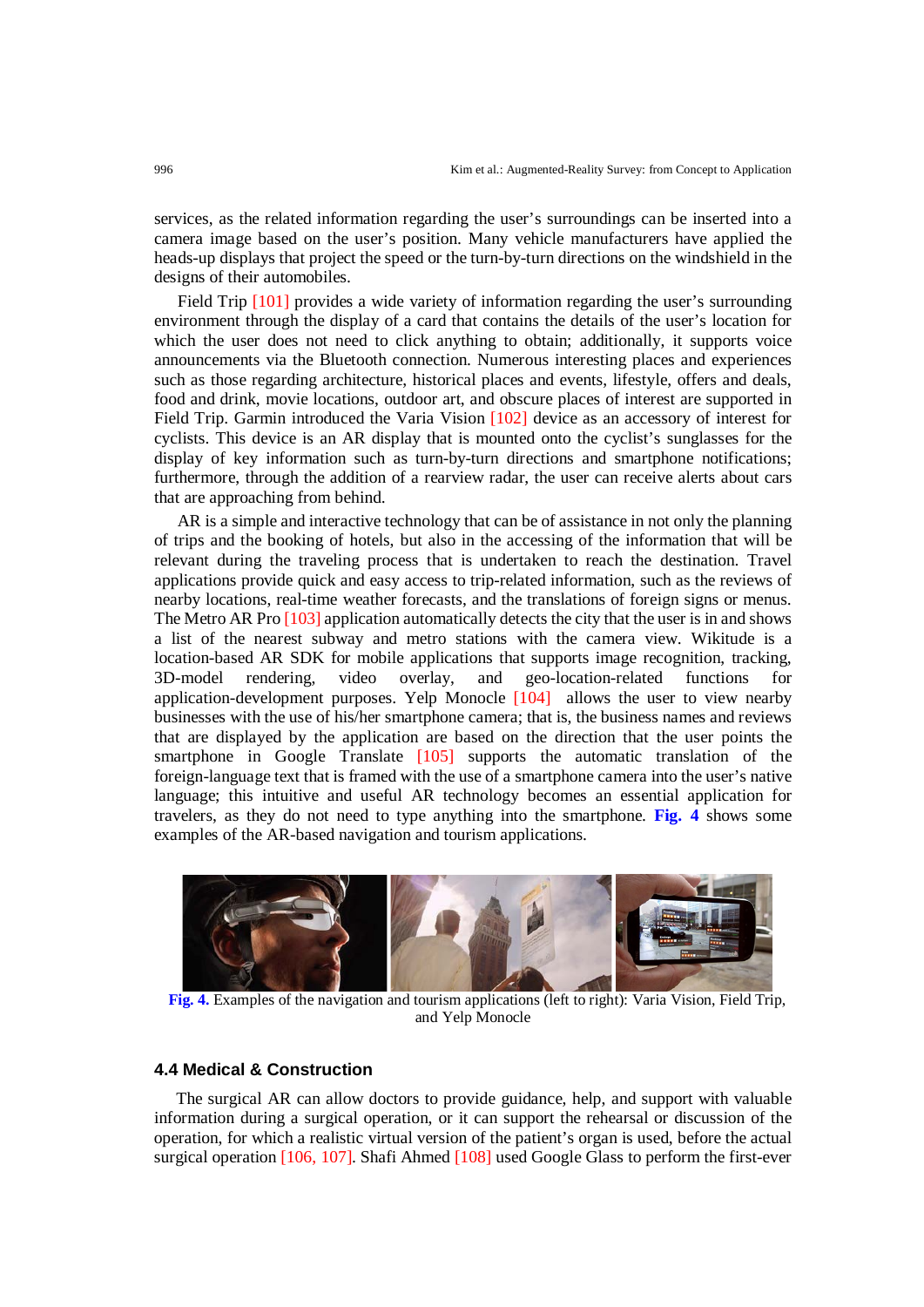services, as the related information regarding the user's surroundings can be inserted into a camera image based on the user's position. Many vehicle manufacturers have applied the heads-up displays that project the speed or the turn-by-turn directions on the windshield in the designs of their automobiles.

Field Trip [101] provides a wide variety of information regarding the user's surrounding environment through the display of a card that contains the details of the user's location for which the user does not need to click anything to obtain; additionally, it supports voice announcements via the Bluetooth connection. Numerous interesting places and experiences such as those regarding architecture, historical places and events, lifestyle, offers and deals, food and drink, movie locations, outdoor art, and obscure places of interest are supported in Field Trip. Garmin introduced the Varia Vision [102] device as an accessory of interest for cyclists. This device is an AR display that is mounted onto the cyclist's sunglasses for the display of key information such as turn-by-turn directions and smartphone notifications; furthermore, through the addition of a rearview radar, the user can receive alerts about cars that are approaching from behind.

AR is a simple and interactive technology that can be of assistance in not only the planning of trips and the booking of hotels, but also in the accessing of the information that will be relevant during the traveling process that is undertaken to reach the destination. Travel applications provide quick and easy access to trip-related information, such as the reviews of nearby locations, real-time weather forecasts, and the translations of foreign signs or menus. The Metro AR Pro [103] application automatically detects the city that the user is in and shows a list of the nearest subway and metro stations with the camera view. Wikitude is a location-based AR SDK for mobile applications that supports image recognition, tracking, 3D-model rendering, video overlay, and geo-location-related functions for application-development purposes. Yelp Monocle [104] allows the user to view nearby businesses with the use of his/her smartphone camera; that is, the business names and reviews that are displayed by the application are based on the direction that the user points the smartphone in Google Translate [105] supports the automatic translation of the foreign-language text that is framed with the use of a smartphone camera into the user's native language; this intuitive and useful AR technology becomes an essential application for travelers, as they do not need to type anything into the smartphone. **Fig. 4** shows some examples of the AR-based navigation and tourism applications.



**Fig. 4.** Examples of the navigation and tourism applications (left to right): Varia Vision, Field Trip, and Yelp Monocle

## **4.4 Medical & Construction**

The surgical AR can allow doctors to provide guidance, help, and support with valuable information during a surgical operation, or it can support the rehearsal or discussion of the operation, for which a realistic virtual version of the patient's organ is used, before the actual surgical operation [106, 107]. Shafi Ahmed [108] used Google Glass to perform the first-ever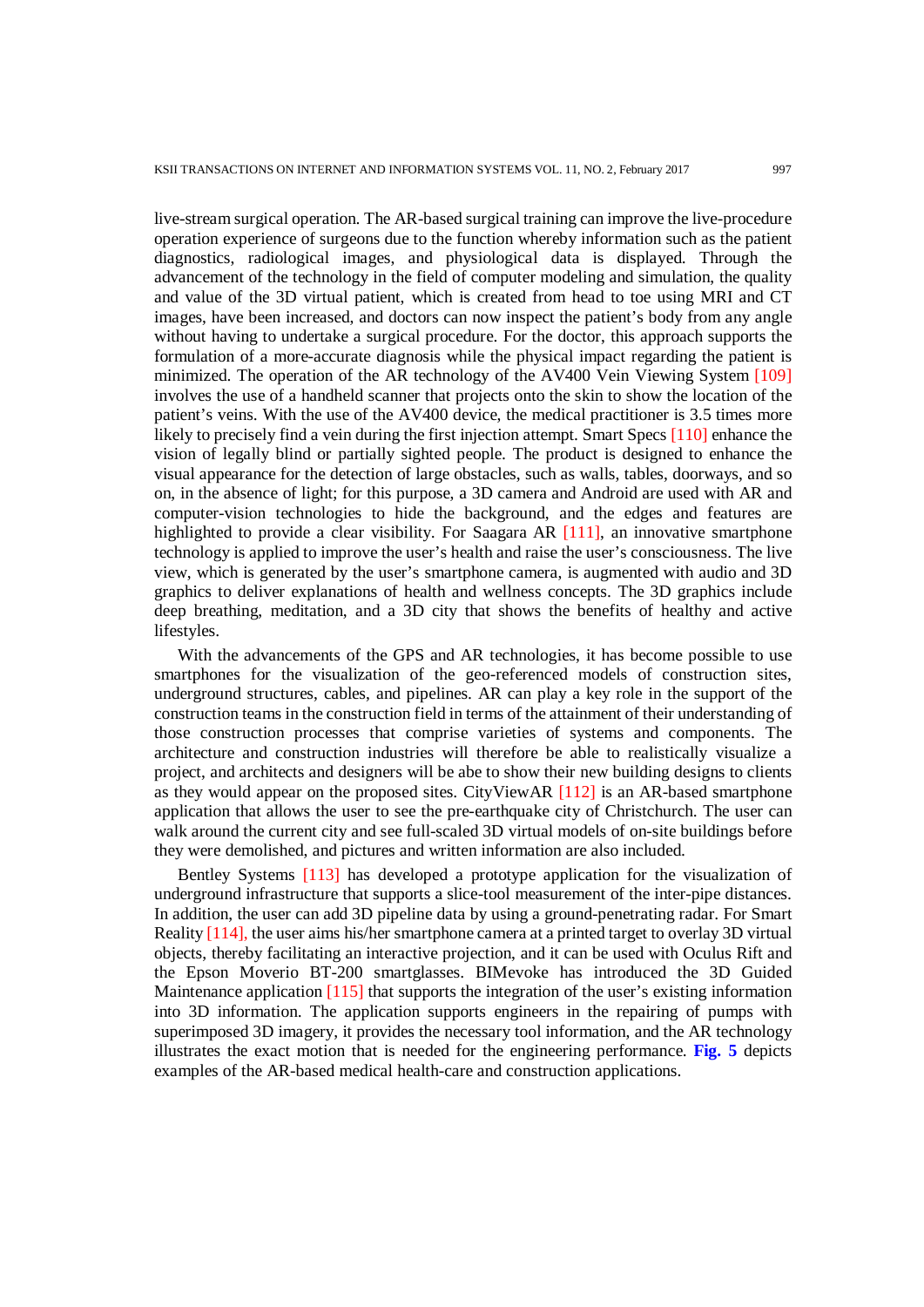live-stream surgical operation. The AR-based surgical training can improve the live-procedure operation experience of surgeons due to the function whereby information such as the patient diagnostics, radiological images, and physiological data is displayed. Through the advancement of the technology in the field of computer modeling and simulation, the quality and value of the 3D virtual patient, which is created from head to toe using MRI and CT images, have been increased, and doctors can now inspect the patient's body from any angle without having to undertake a surgical procedure. For the doctor, this approach supports the formulation of a more-accurate diagnosis while the physical impact regarding the patient is minimized. The operation of the AR technology of the AV400 Vein Viewing System [109] involves the use of a handheld scanner that projects onto the skin to show the location of the patient's veins. With the use of the AV400 device, the medical practitioner is 3.5 times more likely to precisely find a vein during the first injection attempt. Smart Specs [110] enhance the vision of legally blind or partially sighted people. The product is designed to enhance the visual appearance for the detection of large obstacles, such as walls, tables, doorways, and so on, in the absence of light; for this purpose, a 3D camera and Android are used with AR and computer-vision technologies to hide the background, and the edges and features are highlighted to provide a clear visibility. For Saagara AR [111], an innovative smartphone technology is applied to improve the user's health and raise the user's consciousness. The live view, which is generated by the user's smartphone camera, is augmented with audio and 3D graphics to deliver explanations of health and wellness concepts. The 3D graphics include deep breathing, meditation, and a 3D city that shows the benefits of healthy and active lifestyles.

With the advancements of the GPS and AR technologies, it has become possible to use smartphones for the visualization of the geo-referenced models of construction sites, underground structures, cables, and pipelines. AR can play a key role in the support of the construction teams in the construction field in terms of the attainment of their understanding of those construction processes that comprise varieties of systems and components. The architecture and construction industries will therefore be able to realistically visualize a project, and architects and designers will be abe to show their new building designs to clients as they would appear on the proposed sites. CityViewAR [112] is an AR-based smartphone application that allows the user to see the pre-earthquake city of Christchurch. The user can walk around the current city and see full-scaled 3D virtual models of on-site buildings before they were demolished, and pictures and written information are also included.

Bentley Systems [113] has developed a prototype application for the visualization of underground infrastructure that supports a slice-tool measurement of the inter-pipe distances. In addition, the user can add 3D pipeline data by using a ground-penetrating radar. For Smart Reality [114], the user aims his/her smartphone camera at a printed target to overlay 3D virtual objects, thereby facilitating an interactive projection, and it can be used with Oculus Rift and the Epson Moverio BT-200 smartglasses. BIMevoke has introduced the 3D Guided Maintenance application [115] that supports the integration of the user's existing information into 3D information. The application supports engineers in the repairing of pumps with superimposed 3D imagery, it provides the necessary tool information, and the AR technology illustrates the exact motion that is needed for the engineering performance. **Fig. 5** depicts examples of the AR-based medical health-care and construction applications.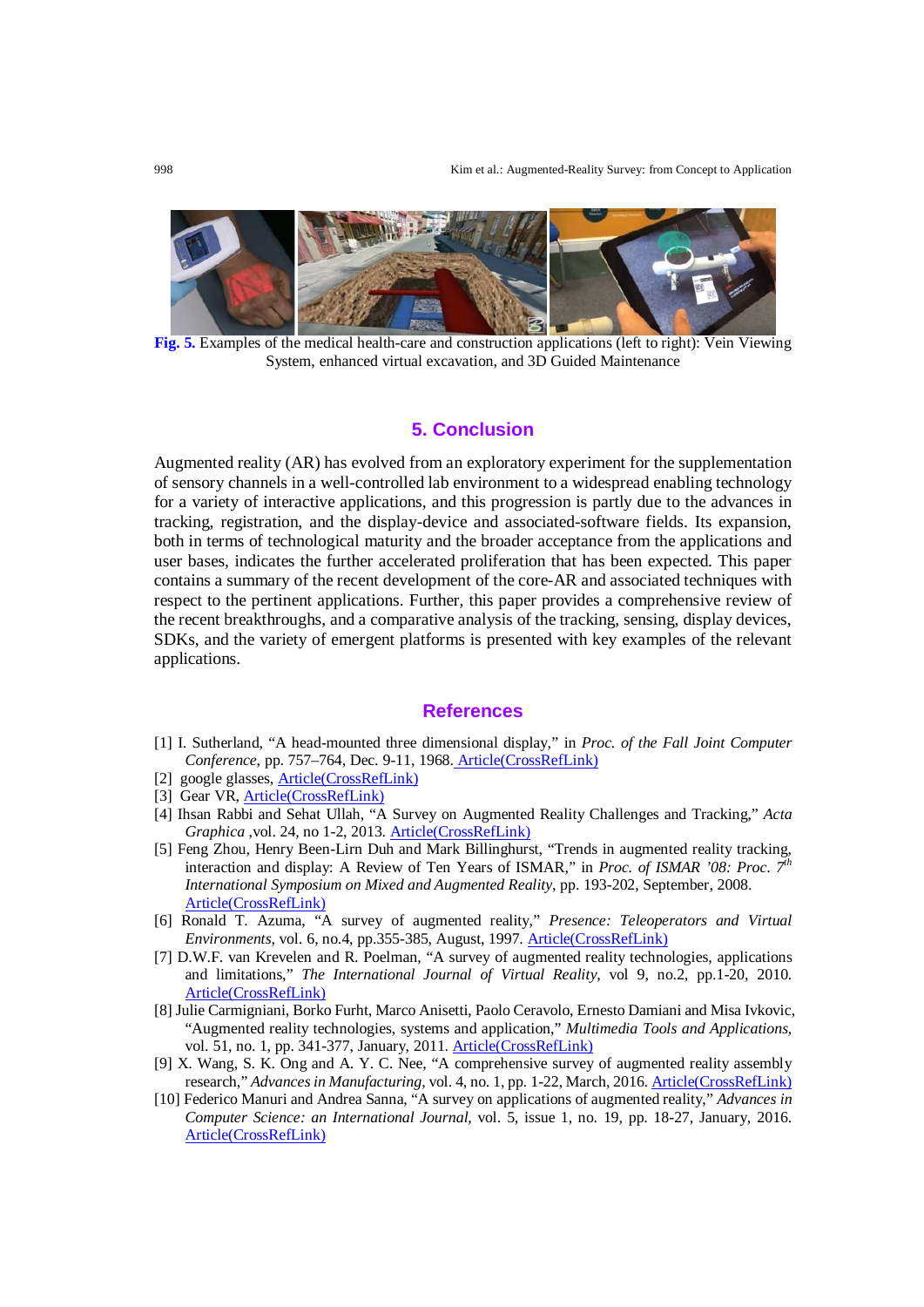

**Fig. 5.** Examples of the medical health-care and construction applications (left to right): Vein Viewing System, enhanced virtual excavation, and 3D Guided Maintenance

#### **5. Conclusion**

Augmented reality (AR) has evolved from an exploratory experiment for the supplementation of sensory channels in a well-controlled lab environment to a widespread enabling technology for a variety of interactive applications, and this progression is partly due to the advances in tracking, registration, and the display-device and associated-software fields. Its expansion, both in terms of technological maturity and the broader acceptance from the applications and user bases, indicates the further accelerated proliferation that has been expected. This paper contains a summary of the recent development of the core-AR and associated techniques with respect to the pertinent applications. Further, this paper provides a comprehensive review of the recent breakthroughs, and a comparative analysis of the tracking, sensing, display devices, SDKs, and the variety of emergent platforms is presented with key examples of the relevant applications.

#### **References**

- [1] I. Sutherland, "A head-mounted three dimensional display," in *Proc. of the Fall Joint Computer Conference*, pp. 757–764, Dec. 9-11, 1968. [Article\(CrossRefLink\)](http://dx.doi.org/10.1145/1476589.1476686)
- [2] google glasses, [Article\(CrossRefLink\)](https://www.google.com/glass/start/)
- [3] Gear VR, [Article\(CrossRefLink\)](http://www.samsung.com/global/galaxy/gear-vr/)
- [4] Ihsan Rabbi and Sehat Ullah, "A Survey on Augmented Reality Challenges and Tracking," *Acta Graphica* ,vol. 24, no 1-2, 2013. [Article\(CrossRefLink\)](https://www.researchgate.net/publication/236461845_A_Survey_of_Augmented_Reality_Challenges_and_Tracking)
- [5] Feng Zhou, Henry Been-Lirn Duh and Mark Billinghurst, "Trends in augmented reality tracking, interaction and display: A Review of Ten Years of ISMAR," in *Proc. of ISMAR '08: Proc. 7th International Symposium on Mixed and Augmented Reality*, pp. 193-202, September, 2008. [Article\(CrossRefLink\)](http://ieeexplore.ieee.org/abstract/document/4637362/)
- [6] Ronald T. Azuma, "A survey of augmented reality," *Presence: Teleoperators and Virtual Environments*, vol. 6, no.4, pp.355-385, August, 1997. **Article(CrossRefLink)**
- [7] D.W.F. van Krevelen and R. Poelman, "A survey of augmented reality technologies, applications and limitations," *The International Journal of Virtual Reality*, vol 9, no.2, pp.1-20, 2010. [Article\(CrossRefLink\)](http://citeseerx.ist.psu.edu/viewdoc/download?doi=10.1.1.454.8190&rep=rep1&type=pdf)
- [8] Julie Carmigniani, Borko Furht, Marco Anisetti, Paolo Ceravolo, Ernesto Damiani and Misa Ivkovic, "Augmented reality technologies, systems and application," *Multimedia Tools and Applications*, vol. 51, no. 1, pp. 341-377, January, 2011[. Article\(CrossRefLink\)](http://dx.doi.org/10.1007/s11042-010-0660-6)
- [9] X. Wang, S. K. Ong and A. Y. C. Nee, "A comprehensive survey of augmented reality assembly research," *Advances in Manufacturing*, vol. 4, no. 1, pp. 1-22, March, 2016. [Article\(CrossRefLink\)](http://dx.doi.org/10.1007/s40436-015-0131-4)
- [10] Federico Manuri and Andrea Sanna, "A survey on applications of augmented reality," *Advances in Computer Science: an International Journal*, vol. 5, issue 1, no. 19, pp. 18-27, January, 2016. [Article\(CrossRefLink\)](http://www.acsij.org/acsij/article/view/400)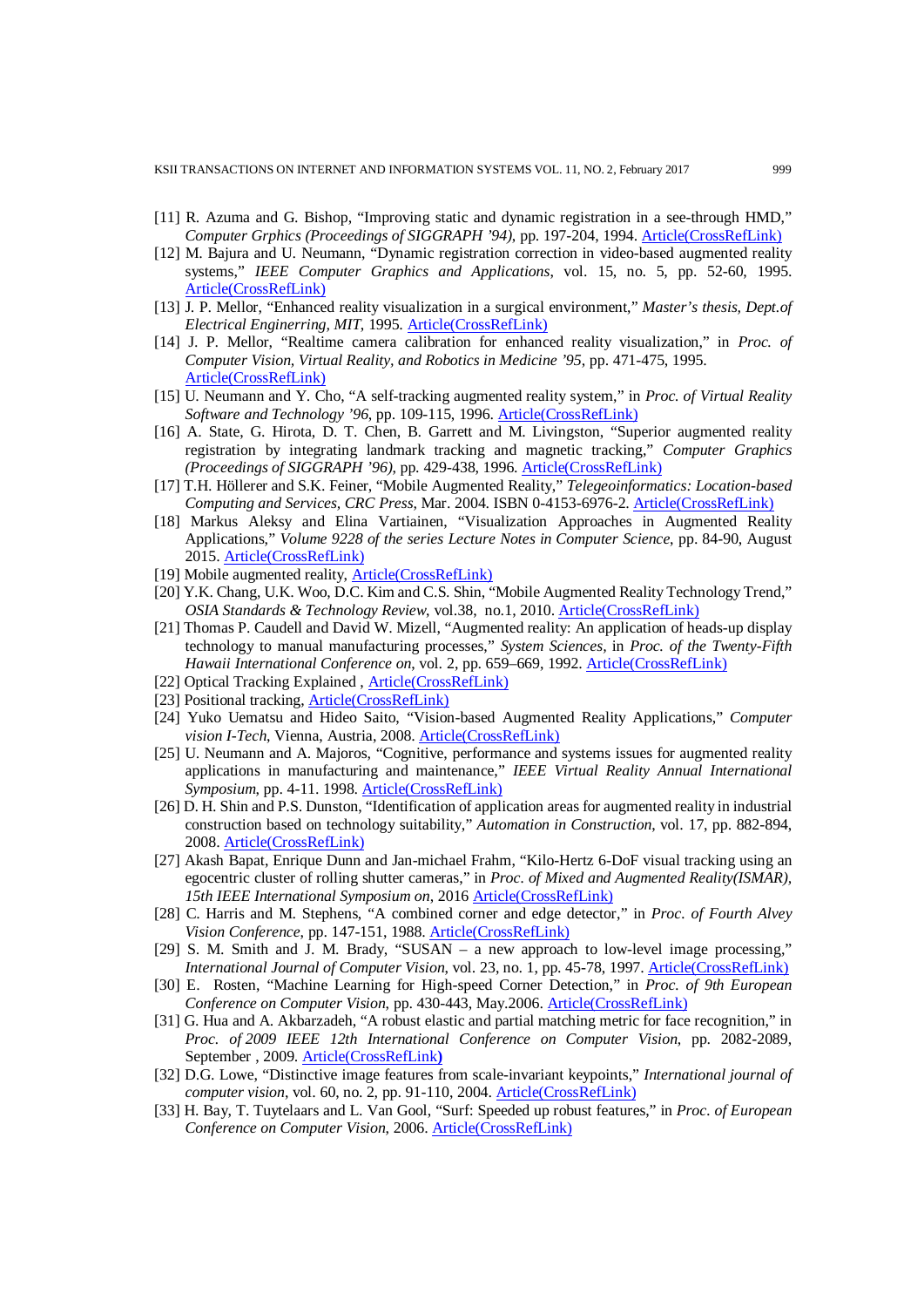- [11] R. Azuma and G. Bishop, "Improving static and dynamic registration in a see-through HMD," *Computer Grphics (Proceedings of SIGGRAPH '94)*, pp. 197-204, 1994. [Article\(CrossRefLink\)](http://dx.doi.org/10.1145/192161.192199)
- [12] M. Bajura and U. Neumann, "Dynamic registration correction in video-based augmented reality systems," *IEEE Computer Graphics and Applications*, vol. 15, no. 5, pp. 52-60, 1995. [Article\(CrossRefLink\)](http://dx.doi.org/10.1109/38.403828)
- [13] J. P. Mellor, "Enhanced reality visualization in a surgical environment," *Master's thesis, Dept.of Electrical Enginerring, MIT*, 1995. [Article\(CrossRefLink\)](http://citeseerx.ist.psu.edu/viewdoc/summary?doi=10.1.1.18.3364)
- [14] J. P. Mellor, "Realtime camera calibration for enhanced reality visualization," in *Proc. of Computer Vision, Virtual Reality, and Robotics in Medicine '95*, pp. 471-475, 1995. [Article\(CrossRefLink\)](http://download.springer.com/static/pdf/60/chp%253A10.1007%252F978-3-540-49197-2_62.pdf?originUrl=http%3A%2F%2Flink.springer.com%2Fchapter%2F10.1007%2F978-3-540-49197-2_62&token2=exp=1484764112%7Eacl=%2Fstatic%2Fpdf%2F60%2Fchp%25253A10.1007%25252F978-3-540-49197-2_62.pdf%3ForiginUrl%3Dhttp%253A%252F%252Flink.springer.com%252Fchapter%252F10.1007%252F978-3-540-49197-2_62*%7Ehmac=23394770f77968635a40a97058f622022106437065074a3b66de23e5a6f3a81b)
- [15] U. Neumann and Y. Cho, "A self-tracking augmented reality system," in *Proc. of Virtual Reality Software and Technology '96*, pp. 109-115, 1996[. Article\(CrossRefLink\)](https://pdfs.semanticscholar.org/e7f4/d55aad9bdc66b612ef3129d8f788b828215c.pdf)
- [16] A. State, G. Hirota, D. T. Chen, B. Garrett and M. Livingston, "Superior augmented reality registration by integrating landmark tracking and magnetic tracking," *Computer Graphics (Proceedings of SIGGRAPH '96)*, pp. 429-438, 1996. [Article\(CrossRefLink\)](http://dx.doi.org/10.1145/237170.237282)
- [17] T.H. Höllerer and S.K. Feiner, "Mobile Augmented Reality," *Telegeoinformatics: Location-based Computing and Services, CRC Press*, Mar. 2004. ISBN 0-4153-6976-2. [Article\(CrossRefLink\)](http://web.cs.wpi.edu/%7Egogo/courses/imgd5100/papers/Hollerer_AR_2004.pdf)
- [18] Markus Aleksy and Elina Vartiainen, "Visualization Approaches in Augmented Reality Applications," *Volume 9228 of the series Lecture Notes in Computer Science*, pp. 84-90, August 2015. [Article\(CrossRefLink\)](http://dx.doi.org/10.1007/978-3-319-23144-0_8)
- [19] Mobile augmented reality[, Article\(CrossRefLink\)](https://committee.tta.or.kr/data/weekly_view.jsp?news_id=3329)
- [20] Y.K. Chang, U.K. Woo, D.C. Kim and C.S. Shin, "Mobile Augmented Reality Technology Trend," *OSIA Standards & Technology Review*, vol.38, no.1, 2010. [Article\(CrossRefLink\)](http://icserv.gist.ac.kr/mis/publications/data/2010/%ED%8A%B9%EC%A7%9104v2_1.pdf)
- [21] Thomas P. Caudell and David W. Mizell, "Augmented reality: An application of heads-up display technology to manual manufacturing processes," *System Sciences,* in *Proc. of the Twenty-Fifth Hawaii International Conference on*, vol. 2, pp. 659–669, 1992. [Article\(CrossRefLink\)](http://dx.doi.org/10.1109/HICSS.1992.183317)
- [22] Optical Tracking Explained, [Article\(CrossRefLink\)](http://www.ps-tech.com/3d-technology/optical-tracking)
- [23] Positional tracking, **Article(CrossRefLink)**
- [24] Yuko Uematsu and Hideo Saito, "Vision-based Augmented Reality Applications," *Computer vision I-Tech*, Vienna, Austria, 2008. [Article\(CrossRefLink\)](http://cdn.intechopen.com/pdfs/5207/InTech-Vision_based_augmented_reality_applications.pdf)
- [25] U. Neumann and A. Majoros, "Cognitive, performance and systems issues for augmented reality applications in manufacturing and maintenance," *IEEE Virtual Reality Annual International Symposium*, pp. 4-11. 1998. [Article\(CrossRefLink\)](http://dx.doi.org/10.1109/VRAIS.1998.658416)
- [26] D. H. Shin and P.S. Dunston, "Identification of application areas for augmented reality in industrial construction based on technology suitability," *Automation in Construction*, vol. 17, pp. 882-894, 2008. [Article\(CrossRefLink\)](http://dx.doi.org/10.1016/j.autcon.2008.02.012)
- [27] Akash Bapat, Enrique Dunn and Jan-michael Frahm, "Kilo-Hertz 6-DoF visual tracking using an egocentric cluster of rolling shutter cameras," in *Proc. of Mixed and Augmented Reality(ISMAR), 15th IEEE International Symposium on*, 201[6 Article\(CrossRefLink\)](http://dx.doi.org/10.1109/TVCG.2016.2593757)
- [28] C. Harris and M. Stephens, "A combined corner and edge detector," in *Proc. of Fourth Alvey Vision Conference*, pp. 147-151, 1988. Article(CrossRefLink)
- [29] S. M. Smith and J. M. Brady, "SUSAN a new approach to low-level image processing," *International Journal of Computer Vision*, vol. 23, no. 1, pp. 45-78, 1997[. Article\(CrossRefLink\)](http://dx.doi.org/10.1023/A:1007963824710)
- [30] E. Rosten, "Machine Learning for High-speed Corner Detection," in *Proc. of 9th European Conference on Computer Vision*, pp. 430-443, May.2006[. Article\(CrossRefLink\)](http://dx.doi.org/10.1007/11744023_34)
- [31] G. Hua and A. Akbarzadeh, "A robust elastic and partial matching metric for face recognition," in *Proc. of 2009 IEEE 12th International Conference on Computer Vision*, pp. 2082-2089, September , 2009. Article(CrossRefLink**)**
- [32] D.G. Lowe, "Distinctive image features from scale-invariant keypoints," *International journal of computer vision*, vol. 60, no. 2, pp. 91-110, 2004[. Article\(CrossRefLink\)](http://dx.doi.org/10.1023/B:VISI.0000029664.99615.94)
- [33] H. Bay, T. Tuytelaars and L. Van Gool, "Surf: Speeded up robust features," in *Proc. of European Conference on Computer Vision*, 2006[. Article\(CrossRefLink\)](http://dx.doi.org/10.1023/B:VISI.0000029664.99615.94)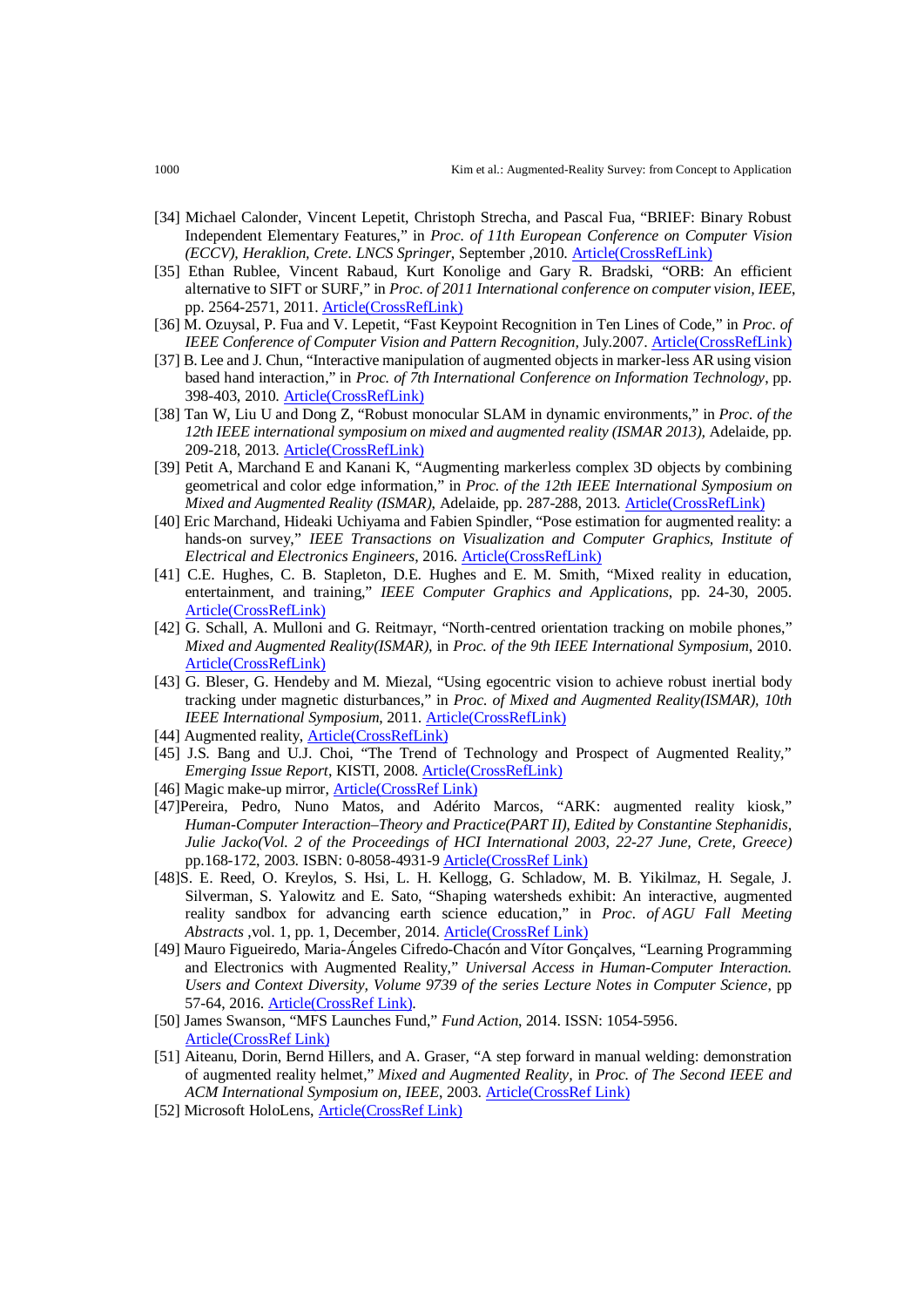- [34] Michael Calonder, Vincent Lepetit, Christoph Strecha, and Pascal Fua, "BRIEF: Binary Robust Independent Elementary Features," in *Proc. of 11th European Conference on Computer Vision (ECCV), Heraklion, Crete. LNCS Springer*, September ,2010. [Article\(CrossRefLink\)](http://dx.doi.org/10.1007/978-3-642-15561-1_56)
- [35] Ethan Rublee, Vincent Rabaud, Kurt Konolige and Gary R. Bradski, "ORB: An efficient alternative to SIFT or SURF," in *Proc. of 2011 International conference on computer vision, IEEE*, pp. 2564-2571, 2011. Article(CrossRefLink)
- [36] M. Ozuysal, P. Fua and V. Lepetit, "Fast Keypoint Recognition in Ten Lines of Code," in *Proc. of IEEE Conference of Computer Vision and Pattern Recognition, July.2007.* Article(CrossRefLink)
- [37] B. Lee and J. Chun, "Interactive manipulation of augmented objects in marker-less AR using vision based hand interaction," in *Proc. of 7th International Conference on Information Technology*, pp. 398-403, 2010[. Article\(CrossRefLink\)](http://dx.doi.org/10.1109/ITNG.2010.36)
- [38] Tan W, Liu U and Dong Z, "Robust monocular SLAM in dynamic environments," in *Proc. of the 12th IEEE international symposium on mixed and augmented reality (ISMAR 2013),* Adelaide, pp. 209-218, 2013[. Article\(CrossRefLink\)](http://dx.doi.org/10.1109/ISMAR.2013.6671781)
- [39] Petit A, Marchand E and Kanani K, "Augmenting markerless complex 3D objects by combining geometrical and color edge information," in *Proc. of the 12th IEEE International Symposium on Mixed and Augmented Reality (ISMAR)*, Adelaide, pp. 287-288, 2013. [Article\(CrossRefLink\)](http://dx.doi.org/10.1109/ISMAR.2013.6671808)
- [40] Eric Marchand, Hideaki Uchiyama and Fabien Spindler, "Pose estimation for augmented reality: a hands-on survey," *IEEE Transactions on Visualization and Computer Graphics, Institute of Electrical and Electronics Engineers*, 2016. [Article\(CrossRefLink\)](http://dx.doi.org/10.1109/TVCG.2015.2513408)
- [41] C.E. Hughes, C. B. Stapleton, D.E. Hughes and E. M. Smith, "Mixed reality in education, entertainment, and training," *IEEE Computer Graphics and Applications*, pp. 24-30, 2005. [Article\(CrossRefLink\)](http://dx.doi.org/10.1109/MCG.2005.139)
- [42] G. Schall, A. Mulloni and G. Reitmayr, "North-centred orientation tracking on mobile phones," *Mixed and Augmented Reality(ISMAR),* in *Proc. of the 9th IEEE International Symposium*, 2010. [Article\(CrossRefLink\)](http://dx.doi.org/10.1109/ISMAR.2010.5643600)
- [43] G. Bleser, G. Hendeby and M. Miezal, "Using egocentric vision to achieve robust inertial body tracking under magnetic disturbances," in *Proc. of Mixed and Augmented Reality(ISMAR), 10th IEEE International Symposium*, 2011. [Article\(CrossRefLink\)](http://dx.doi.org/10.1109/ISMAR.2011.6092528)
- [44] Augmented reality, Article(CrossRefLink)
- [45] J.S. Bang and U.J. Choi, "The Trend of Technology and Prospect of Augmented Reality," *Emerging Issue Report*, KISTI, 2008. [Article\(CrossRefLink\)](http://dx.doi.org/10.1109/ISMAR.2008.4637362)
- [46] Magic make-up mirror[, Article\(CrossRef Link\)](http://www.dailymail.co.uk/femail/article-1370892/Shiseidos-magic-make-mirror-try-dozens-)
- [47]Pereira, Pedro, Nuno Matos, and Adérito Marcos, "ARK: augmented reality kiosk," *Human-Computer Interaction–Theory and Practice(PART II), Edited by Constantine Stephanidis, Julie Jacko(Vol. 2 of the Proceedings of HCI International 2003, 22-27 June, Crete, Greece)* pp.168-172, 2003. ISBN: 0-8058-4931-[9 Article\(CrossRef Link\)](http://publica.fraunhofer.de/documents/N-19723.html)
- [48]S. E. Reed, O. Kreylos, S. Hsi, L. H. Kellogg, G. Schladow, M. B. Yikilmaz, H. Segale, J. Silverman, S. Yalowitz and E. Sato, "Shaping watersheds exhibit: An interactive, augmented reality sandbox for advancing earth science education," in *Proc. of AGU Fall Meeting Abstracts* ,vol. 1, pp. 1, December, 2014. [Article\(CrossRef Link\)](http://adsabs.harvard.edu/abs/2014AGUFMED34A..01R)
- [49] Mauro Figueiredo, Maria-Ángeles Cifredo-Chacón and Vítor Gonçalves, "Learning Programming and Electronics with Augmented Reality," *Universal Access in Human-Computer Interaction. Users and Context Diversity, Volume 9739 of the series Lecture Notes in Computer Science*, pp 57-64, 2016[. Article\(CrossRef Link\).](http://dx.doi.org/10.1007/978-3-319-40238-3_6)
- [50] James Swanson, "MFS Launches Fund," *Fund Action*, 2014. ISSN: 1054-5956. Article(CrossRef Link)
- [51] Aiteanu, Dorin, Bernd Hillers, and A. Graser, "A step forward in manual welding: demonstration of augmented reality helmet," *Mixed and Augmented Reality,* in *Proc. of The Second IEEE and ACM International Symposium on, IEEE*, 2003. Article(CrossRef Link)
- [52] Microsoft HoloLens, [Article\(CrossRef Link\)](https://www.cnet.com/news/microsoft-hololens-explained-how-it-works-and-why-its-different/)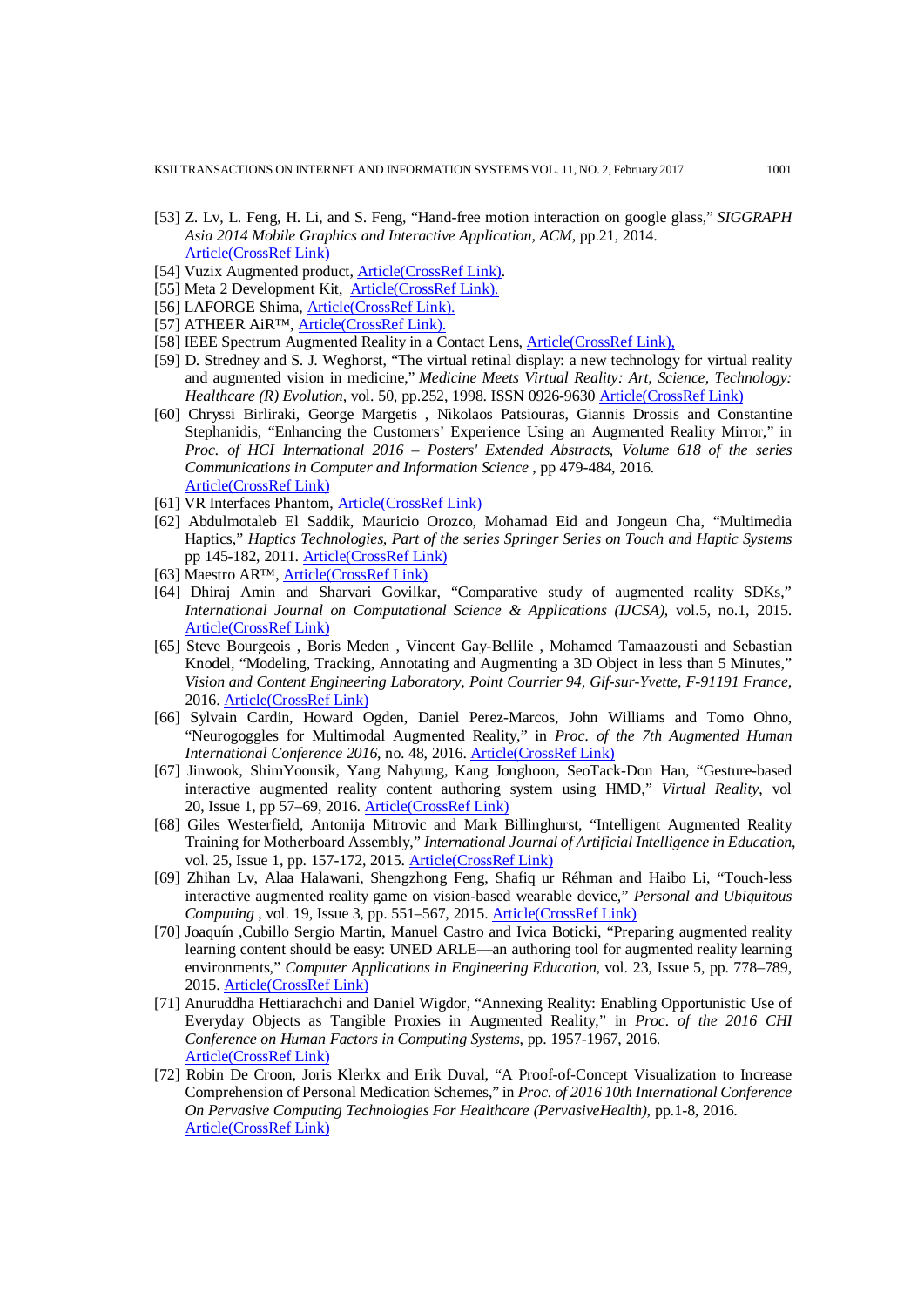KSII TRANSACTIONS ON INTERNET AND INFORMATION SYSTEMS VOL. 11, NO. 2, February 2017 1001

- [53] Z. Lv, L. Feng, H. Li, and S. Feng, "Hand-free motion interaction on google glass," *SIGGRAPH Asia 2014 Mobile Graphics and Interactive Application, ACM*, pp.21, 2014. [Article\(CrossRef Link\)](http://dx.doi.org/10.1145/2669062.2669066)
- [54] Vuzix Augmented product, [Article\(CrossRef Link\).](https://www.vuzix.com/)
- [55] Meta 2 Development Kit, [Article\(CrossRef Link\).](https://www.metavision.com/)
- [56] LAFORGE Shima[, Article\(CrossRef Link\).](http://www.laforgeoptical.com/)
- [57] ATHEER AiR™, [Article\(CrossRef Link\).](http://www.atheerair.com/)
- [58] IEEE Spectrum Augmented Reality in a Contact Lens, [Article\(CrossRef Link\),](http://spectrum.ieee.org/biomedical/bionics/augmented-reality-in-a-contact-lens/eyesb1)
- [59] D. Stredney and S. J. Weghorst, "The virtual retinal display: a new technology for virtual reality and augmented vision in medicine," *Medicine Meets Virtual Reality: Art, Science, Technology: Healthcare (R) Evolution*, vol. 50, pp.252, 1998. ISSN 0926-9630 [Article\(CrossRef Link\)](https://www.ncbi.nlm.nih.gov/pubmed/10180549)
- [60] Chryssi Birliraki, George Margetis , Nikolaos Patsiouras, Giannis Drossis and Constantine Stephanidis, "Enhancing the Customers' Experience Using an Augmented Reality Mirror," in *Proc. of HCI International 2016 – Posters' Extended Abstracts, Volume 618 of the series Communications in Computer and Information Science* , pp 479-484, 2016. [Article\(CrossRef Link\)](http://dx.doi.org/10.1007/978-3-319-40542-1_77)
- [61] VR Interfaces Phantom, [Article\(CrossRef Link\)](http://www.virtualworldlets.net/Shop/ProductsDisplay/VRInterface.php?ID=137%23Overview)
- [62] Abdulmotaleb El Saddik, Mauricio Orozco, Mohamad Eid and Jongeun Cha, "Multimedia Haptics," *Haptics Technologies, Part of the series Springer Series on Touch and Haptic Systems* pp 145-182, 2011. [Article\(CrossRef Link\)](http://dx.doi.org/10.1007/978-3-642-22658-8_6)
- [63] Maestro AR™[, Article\(CrossRef Link\)](http://www.mimicsimulation.com/products/maestro-ar/)
- [64] Dhiraj Amin and Sharvari Govilkar, "Comparative study of augmented reality SDKs," *International Journal on Computational Science & Applications (IJCSA)*, vol.5, no.1, 2015. [Article\(CrossRef Link\)](https://www.researchgate.net/publication/276855764_Comparative_Study_of_Augmented_Reality_Sdk)
- [65] Steve Bourgeois , Boris Meden , Vincent Gay-Bellile , Mohamed Tamaazousti and Sebastian Knodel, "Modeling, Tracking, Annotating and Augmenting a 3D Object in less than 5 Minutes," *Vision and Content Engineering Laboratory, Point Courrier 94, Gif-sur-Yvette, F-91191 France*, 2016. [Article\(CrossRef Link\)](http://studierstube.icg.tugraz.at/ISMARTrackingWorkshop/papers/bourgeois_etal_tmat13.pdf)
- [66] Sylvain Cardin, [Howard Ogden,](http://dl.acm.org/author_page.cfm?id=99658984833&coll=DL&dl=ACM&trk=0&cfid=680057994&cftoken=65008682) [Daniel Perez-Marcos,](http://dl.acm.org/author_page.cfm?id=81413599336&coll=DL&dl=ACM&trk=0&cfid=680057994&cftoken=65008682) [John Williams](http://dl.acm.org/author_page.cfm?id=99658985470&coll=DL&dl=ACM&trk=0&cfid=680057994&cftoken=65008682) and [Tomo Ohno,](http://dl.acm.org/author_page.cfm?id=99658985391&coll=DL&dl=ACM&trk=0&cfid=680057994&cftoken=65008682) "Neurogoggles for Multimodal Augmented Reality," in *Proc. of the 7th Augmented Human International Conference 2016*, no. 48, 2016. [Article\(CrossRef Link\)](http://dx.doi.org/10.1145/2875194.2875242)
- [67] Jinwook, ShimYoonsik, Yang Nahyung, Kang Jonghoon, SeoTack-Don Han, "Gesture-based interactive augmented reality content authoring system using HMD," *Virtual Reality*, vol 20, [Issue](http://link.springer.com/journal/10055/20/1/page/1) 1, pp 57–69, 2016. [Article\(CrossRef Link\)](http://dx.doi.org/10.1007/s10055-016-0282-z)
- [68] Giles Westerfield, Antonija Mitrovic and Mark Billinghurst, "Intelligent Augmented Reality Training for Motherboard Assembly," *International Journal of Artificial Intelligence in Education*, vol. 25, Issue 1, pp. 157-172, 2015. [Article\(CrossRef Link\)](http://dx.doi.org/10.1007/s40593-014-0032-x)
- [69] Zhihan Lv, Alaa Halawani, Shengzhong Feng, Shafiq ur Réhman and Haibo Li, "Touch-less interactive augmented reality game on vision-based wearable device," *Personal and Ubiquitous Computing* , vol. 19, Issue 3, pp. 551–567, 2015. [Article\(CrossRef Link\)](http://dx.doi.org/10.1007/s00779-015-0844-1)
- [70] Joaquín ,Cubillo Sergio Martin, Manuel Castro and Ivica Boticki, "Preparing augmented reality learning content should be easy: UNED ARLE—an authoring tool for augmented reality learning environments," *Computer Applications in Engineering Education*, vol. 23, Issue 5, pp. 778–789, 2015. [Article\(CrossRef Link\)](http://onlinelibrary.wiley.com/doi/10.1002/cae.21650/abstract)
- [71] Anuruddha Hettiarachchi and Daniel Wigdor, "Annexing Reality: Enabling Opportunistic Use of Everyday Objects as Tangible Proxies in Augmented Reality," in *Proc. of the 2016 CHI Conference on Human Factors in Computing Systems*, pp. 1957-1967, 2016. [Article\(CrossRef Link\)](http://dx.doi.org/10.1145/2858036.2858134)
- [72] [Robin De Croon, Joris Klerkx and Erik Duval, "A Proof-of-Concept Visualization to Increase](https://en.wikipedia.org/w/index.php?title=JavaCV&action=edit&redlink=1)  [Comprehension of Personal Medication Schemes,"](https://en.wikipedia.org/w/index.php?title=JavaCV&action=edit&redlink=1) in *Proc. of 2016 10th International Conference [On Pervasive Computing Technologies For Healthcare \(PervasiveHealth\)](https://en.wikipedia.org/w/index.php?title=JavaCV&action=edit&redlink=1)*, pp.1-8, 2016. [Article\(CrossRef Link\)](https://lirias.kuleuven.be/.../1/20160311-ph2016-camready1.pdf)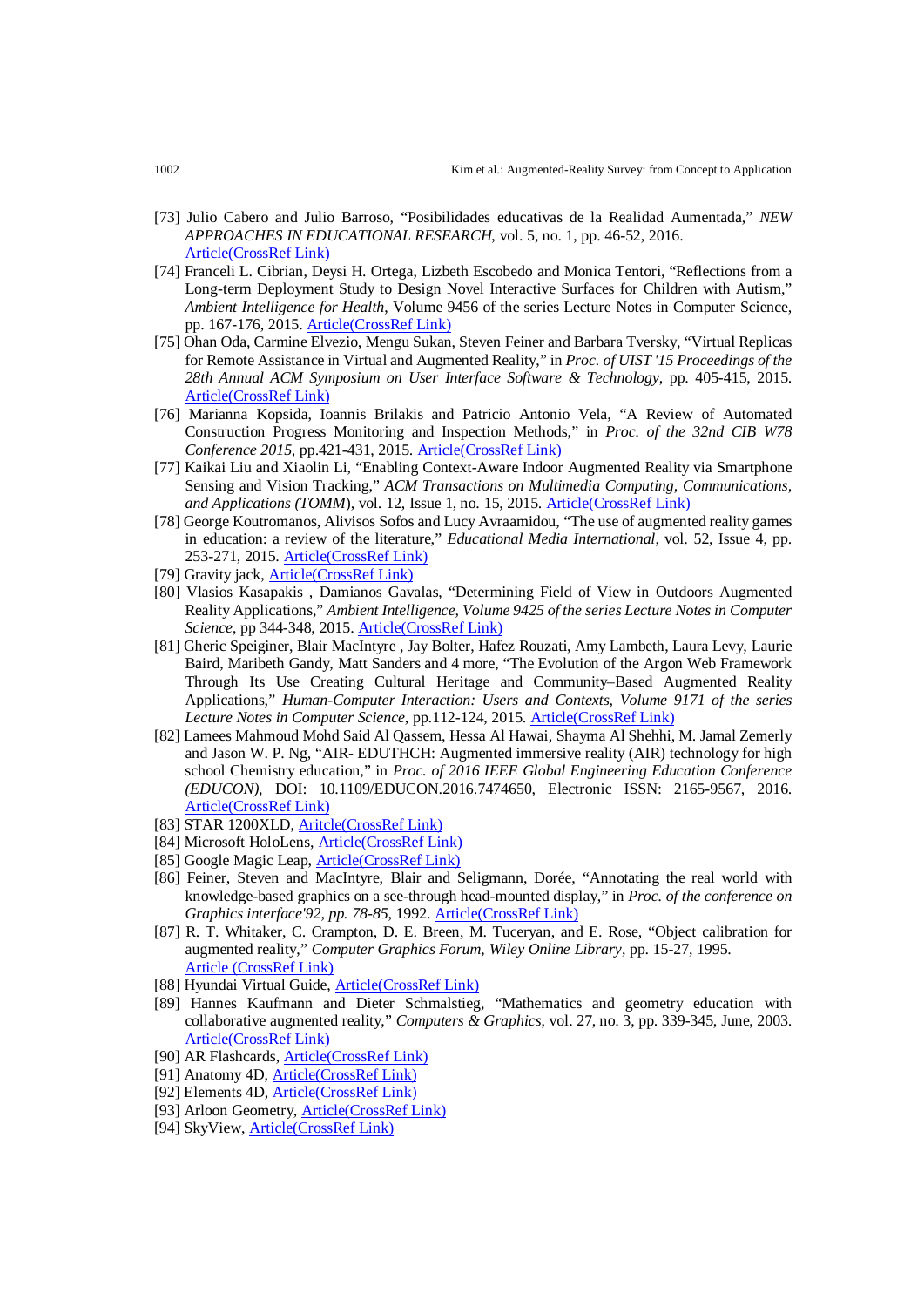- [73] Julio Cabero and Julio Barroso, "Posibilidades educativas de la Realidad Aumentada," *NEW APPROACHES IN EDUCATIONAL RESEARCH*, vol. 5, no. 1, pp. 46-52, 2016. [Article\(CrossRef Link\)](http://dx.doi.org/10.7821/naer.2016.1.140)
- [74] Franceli L. Cibrian, Deysi H. Ortega, Lizbeth Escobedo and Monica Tentori, "Reflections from a Long-term Deployment Study to Design Novel Interactive Surfaces for Children with Autism," *Ambient Intelligence for Health*, Volume 9456 of the series Lecture Notes in Computer Science, pp. 167-176, 2015[. Article\(CrossRef Link\)](http://dx.doi.org/10.1007/978-3-319-26508-7_17)
- [75] Ohan Oda, Carmine Elvezio, Mengu Sukan, Steven Feiner and Barbara Tversky, "Virtual Replicas for Remote Assistance in Virtual and Augmented Reality," in *Proc. of UIST '15 Proceedings of the 28th Annual ACM Symposium on User Interface Software & Technology*, pp. 405-415, 2015. [Article\(CrossRef Link\)](http://dl.acm.org/citation.cfm?id=2807497)
- [76] Marianna Kopsida, Ioannis Brilakis and Patricio Antonio Vela, "A Review of Automated Construction Progress Monitoring and Inspection Methods," in *Proc. of the 32nd CIB W78 Conference 2015*, pp.421-431, 2015[. Article\(CrossRef Link\)](http://dx.doi.org/10.1145/2807442.2807497)
- [77] Kaikai Liu and Xiaolin Li, "Enabling Context-Aware Indoor Augmented Reality via Smartphone Sensing and Vision Tracking," *ACM Transactions on Multimedia Computing, Communications, and Applications (TOMM*), vol. 12, Issue 1, no. 15, 2015[. Article\(CrossRef Link\)](http://dx.doi.org/10.1145/2808208)
- [78] George Koutromanos, Alivisos Sofos and Lucy Avraamidou, "The use of augmented reality games in education: a review of the literature," *Educational Media International*, vol. 52, Issue 4, pp. 253-271, 2015[. Article\(CrossRef Link\)](http://dx.doi.org/10.1080/09523987.2015.1125988)
- [79] Gravity jack, [Article\(CrossRef Link\)](http://gravityjack.com/)
- [80] Vlasios Kasapakis , Damianos Gavalas, "Determining Field of View in Outdoors Augmented Reality Applications," *Ambient Intelligence, Volume 9425 of the series Lecture Notes in Computer Science*, pp 344-348, 2015[. Article\(CrossRef Link\)](http://dx.doi.org/10.1007/978-3-319-26005-1_23)
- [81] Gheric Speiginer, Blair MacIntyre , Jay Bolter, Hafez Rouzati, Amy Lambeth, Laura Levy, Laurie Baird, Maribeth Gandy, Matt Sanders and 4 more, "The Evolution of the Argon Web Framework Through Its Use Creating Cultural Heritage and Community–Based Augmented Reality Applications," *Human-Computer Interaction: Users and Contexts, Volume 9171 of the series Lecture Notes in Computer Science*, pp.112-124, 2015[. Article\(CrossRef Link\)](http://dx.doi.org/10.1007/978-3-319-21006-3_12)
- [82] Lamees Mahmoud Mohd Said Al Qassem, Hessa Al Hawai, Shayma Al Shehhi, M. Jamal Zemerly and Jason W. P. Ng, "AIR- EDUTHCH: Augmented immersive reality (AIR) technology for high school Chemistry education," in *Proc. of 2016 IEEE Global Engineering Education Conference (EDUCON)*, DOI: 10.1109/EDUCON.2016.7474650, Electronic ISSN: 2165-9567, 2016. [Article\(CrossRef Link\)](http://dx.doi.org/10.1109/EDUCON.2016.7474650)
- [83] STAR 1200XLD, [Aritcle\(CrossRef Link\)](https://www.vuzix.com/Products/LegacyProduct/6Thuy)
- [84] Microsoft HoloLens, [Article\(CrossRef Link\)](https://www.microsoft.com/microsoft-hololens/en-us)
- [85] Google Magic Leap, [Article\(CrossRef Link\)](https://www.magicleap.com/)
- [86] Feiner, Steven and MacIntyre, Blair and Seligmann, Dorée, "Annotating the real world with knowledge-based graphics on a see-through head-mounted display," in *Proc. of the conference on Graphics interface'92, pp. 78-85*, 1992. [Article\(CrossRef Link\)](http://graphicsinterface.org/wp-content/uploads/gi1992-10.pdf)
- [87] R. T. Whitaker, C. Crampton, D. E. Breen, M. Tuceryan, and E. Rose, "Object calibration for augmented reality," *Computer Graphics Forum, Wiley Online Library*, pp. 15-27, 1995. [Article \(CrossRef Link\)](https://pdfs.semanticscholar.org/9628/9f44235a00c717f6697da715e5b689313daf.pdf)
- [88] Hyundai Virtual Guide[, Article\(CrossRef Link\)](https://play.google.com/store/apps/details?id=com.hyundaiusa.vr&hl=en)
- [89] Hannes Kaufmann and Dieter Schmalstieg, "Mathematics and geometry education with collaborative augmented reality," *Computers & Graphics*, vol. 27, no. 3, pp. 339-345, June, 2003. Article(CrossRef Link)
- [90] AR Flashcards[, Article\(CrossRef Link\)](http://arflashcards.com/)
- [91] Anatomy 4D, **Article(CrossRef Link)**
- [92] Elements 4D[, Article\(CrossRef Link\)](http://elements4d.daqri.com/)
- [93] Arloon Geometry, [Article\(CrossRef Link\)](http://www.arloon.com/en/apps/arloon-geometry/)
- [94] SkyView[, Article\(CrossRef Link\)](http://www.terminaleleven.com/skyview/iphone/)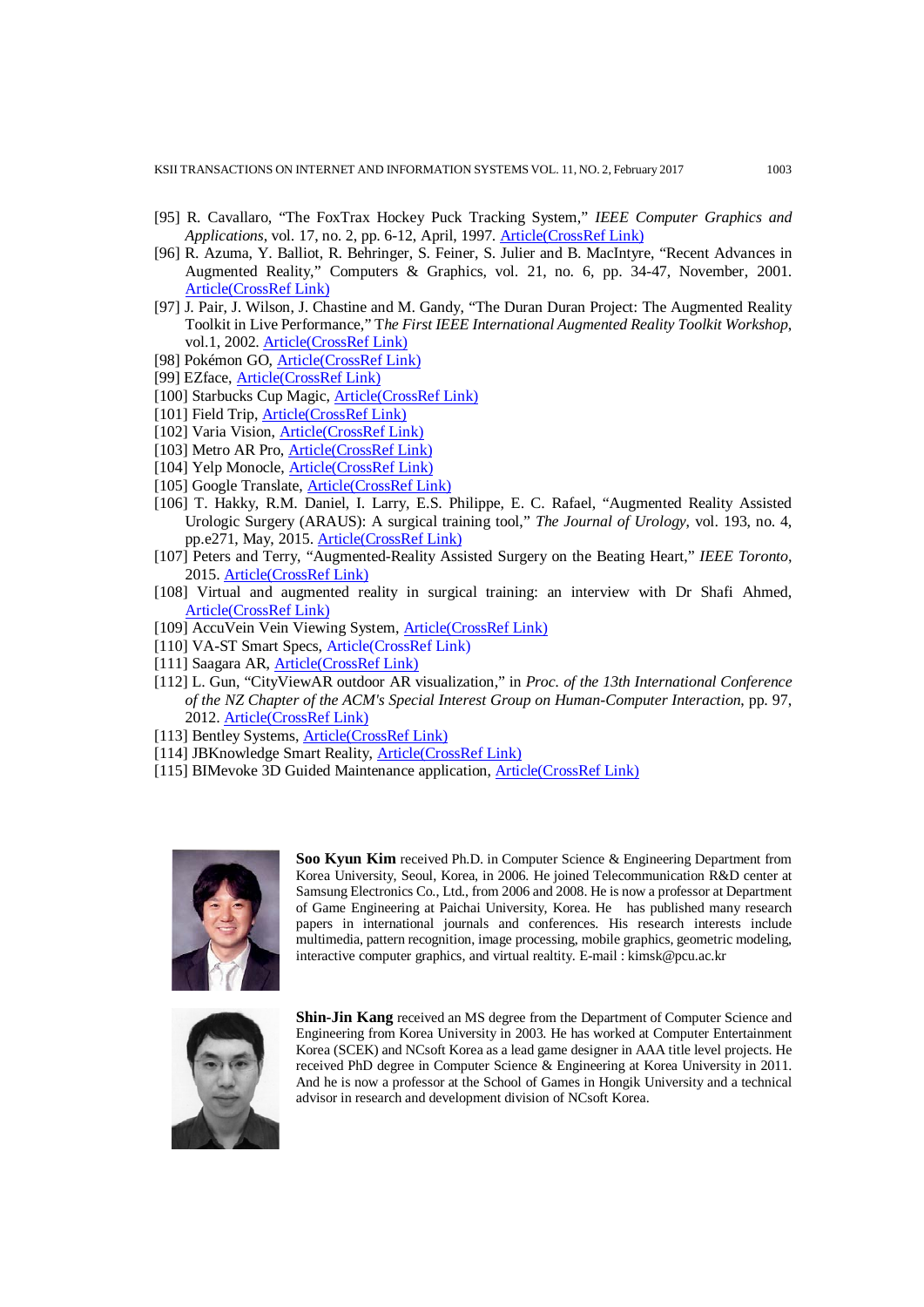KSII TRANSACTIONS ON INTERNET AND INFORMATION SYSTEMS VOL. 11, NO. 2, February 2017 1003

- [95] R. Cavallaro, "The FoxTrax Hockey Puck Tracking System," *IEEE Computer Graphics and Applications*, vol. 17, no. 2, pp. 6-12, April, 1997. [Article\(CrossRef Link\)](http://dx.doi.org/10.1109/38.574652)
- [96] R. Azuma, Y. Balliot, R. Behringer, S. Feiner, S. Julier and B. MacIntyre, "Recent Advances in Augmented Reality," Computers & Graphics, vol. 21, no. 6, pp. 34-47, November, 2001. [Article\(CrossRef Link\)](http://dx.doi.org/10.1109/38.963459)
- [97] J. Pair, J. Wilson, J. Chastine and M. Gandy, "The Duran Duran Project: The Augmented Reality Toolkit in Live Performance," T*he First IEEE International Augmented Reality Toolkit Workshop*, vol.1, 2002[. Article\(CrossRef Link\)](http://www.laboratory4.com/wp-content/uploads/2009/07/DuranDuranaugmentedreality_ART02.pdf)
- [98] Pokémon GO, [Article\(CrossRef Link\)](http://www.pokemongo.com/)
- [99] EZface, [Article\(CrossRef Link\)](http://www.ezface.com/)
- [100] Starbucks Cup Magic, [Article\(CrossRef Link\)](https://news.starbucks.com/news/starbucks-holiday-red-cups-come-to-life-signaling-the-return-of-the-merries)
- [101] Field Trip[, Article\(CrossRef Link\)](https://www.fieldtripper.com/)
- [102] Varia Vision, [Article\(CrossRef Link\)](https://buy.garmin.com/en-US/US/into-sports/cycling/varia-vision-in-sight-display/prod530536.html)
- [103] Metro AR Pro[, Article\(CrossRef Link\)](https://itunes.apple.com/us/app/metro-ar-pro/id363494443?mt=8)
- [104] Yelp Monocle, [Article\(CrossRef Link\)](https://www.yelp.co.uk/)
- [105] Google Translate[, Article\(CrossRef Link\)](https://play.google.com/store/apps/details?id=com.google.android.apps.translate&hl=en)
- [106] T. Hakky, R.M. Daniel, I. Larry, E.S. Philippe, E. C. Rafael, "Augmented Reality Assisted Urologic Surgery (ARAUS): A surgical training tool," *The Journal of Urology*, vol. 193, no. 4, pp.e271, May, 2015[. Article\(CrossRef Link\)](http://www.sciencedirect.com/science/article/pii/S0022534715015657)
- [107] Peters and Terry, "Augmented-Reality Assisted Surgery on the Beating Heart," *IEEE Toronto*, 2015. [Article\(CrossRef Link\)](http://ewh.ieee.org/r7/toronto/events/may2115.html)
- [108] Virtual and augmented reality in surgical training: an interview with Dr Shafi Ahmed, [Article\(CrossRef Link\)](http://www.news-medical.net/news/20160115/Virtual-and-augmented-reality-in-surgical-training-an-interview-with-Dr-Shafi-Ahmed.aspx)
- [109] AccuVein Vein Viewing System, [Article\(CrossRef Link\)](http://www.accuvein.com/)
- [110] VA-ST Smart Specs, [Article\(CrossRef Link\)](http://www.va-st.com/)
- [111] Saagara AR[, Article\(CrossRef Link\)](http://www.saagara.com/ar)
- [112] L. Gun, "CityViewAR outdoor AR visualization," in *Proc. of the 13th International Conference of the NZ Chapter of the ACM's Special Interest Group on Human-Computer Interaction*, pp. 97, 2012. [Article\(CrossRef Link\)](http://dl.acm.org/citation.cfm?id=2379281)
- [113] Bentley Systems, [Article\(CrossRef Link\)](https://www.bentley.com/)
- [114] JBKnowledge Smart Reality, [Article\(CrossRef Link\)](http://smartreality.co/)
- [115] BIMevoke 3D Guided Maintenance application, **Article(CrossRef Link)**



**Soo Kyun Kim** received Ph.D. in Computer Science & Engineering Department from Korea University, Seoul, Korea, in 2006. He joined Telecommunication R&D center at Samsung Electronics Co., Ltd., from 2006 and 2008. He is now a professor at Department of Game Engineering at Paichai University, Korea. He has published many research papers in international journals and conferences. His research interests include multimedia, pattern recognition, image processing, mobile graphics, geometric modeling, interactive computer graphics, and virtual realtity. E-mail : kimsk@pcu.ac.kr



**Shin-Jin Kang** received an MS degree from the Department of Computer Science and Engineering from Korea University in 2003. He has worked at Computer Entertainment Korea (SCEK) and NCsoft Korea as a lead game designer in AAA title level projects. He received PhD degree in Computer Science & Engineering at Korea University in 2011. And he is now a professor at the School of Games in Hongik University and a technical advisor in research and development division of NCsoft Korea.